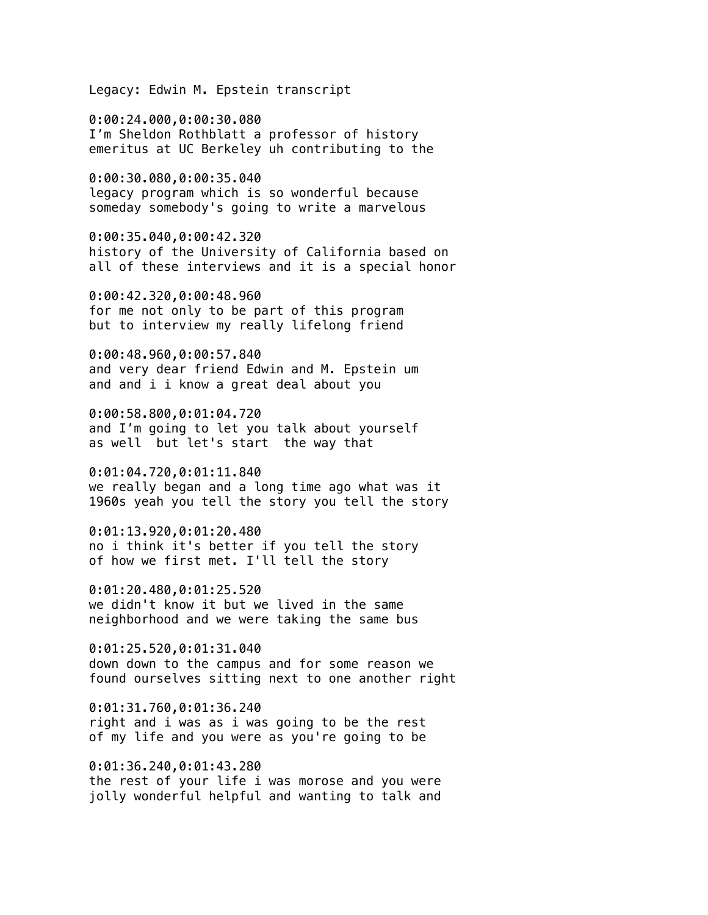Legacy: Edwin M. Epstein transcript

0:00:24.000,0:00:30.080 I'm Sheldon Rothblatt a professor of history emeritus at UC Berkeley uh contributing to the

0:00:30.080,0:00:35.040 legacy program which is so wonderful because someday somebody's going to write a marvelous

0:00:35.040,0:00:42.320 history of the University of California based on all of these interviews and it is a special honor

0:00:42.320,0:00:48.960 for me not only to be part of this program but to interview my really lifelong friend

0:00:48.960,0:00:57.840 and very dear friend Edwin and M. Epstein um and and i i know a great deal about you

0:00:58.800,0:01:04.720 and I'm going to let you talk about yourself as well but let's start the way that

0:01:04.720,0:01:11.840 we really began and a long time ago what was it 1960s yeah you tell the story you tell the story

0:01:13.920,0:01:20.480 no i think it's better if you tell the story of how we first met. I'll tell the story

0:01:20.480,0:01:25.520 we didn't know it but we lived in the same neighborhood and we were taking the same bus

0:01:25.520,0:01:31.040 down down to the campus and for some reason we found ourselves sitting next to one another right

0:01:31.760,0:01:36.240 right and i was as i was going to be the rest of my life and you were as you're going to be

0:01:36.240,0:01:43.280 the rest of your life i was morose and you were jolly wonderful helpful and wanting to talk and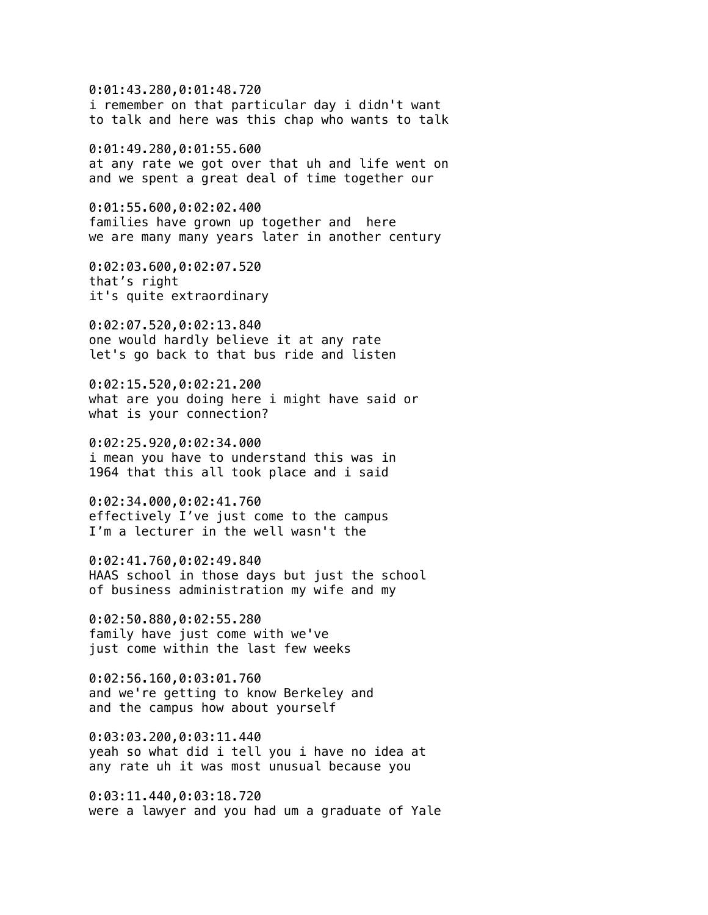0:01:43.280,0:01:48.720 i remember on that particular day i didn't want to talk and here was this chap who wants to talk 0:01:49.280,0:01:55.600 at any rate we got over that uh and life went on and we spent a great deal of time together our 0:01:55.600,0:02:02.400 families have grown up together and here we are many many years later in another century 0:02:03.600,0:02:07.520 that's right it's quite extraordinary 0:02:07.520,0:02:13.840 one would hardly believe it at any rate let's go back to that bus ride and listen 0:02:15.520,0:02:21.200 what are you doing here i might have said or what is your connection? 0:02:25.920,0:02:34.000 i mean you have to understand this was in 1964 that this all took place and i said 0:02:34.000,0:02:41.760 effectively I've just come to the campus I'm a lecturer in the well wasn't the 0:02:41.760,0:02:49.840 HAAS school in those days but just the school of business administration my wife and my 0:02:50.880,0:02:55.280 family have just come with we've just come within the last few weeks 0:02:56.160,0:03:01.760

and we're getting to know Berkeley and and the campus how about yourself

0:03:03.200,0:03:11.440 yeah so what did i tell you i have no idea at any rate uh it was most unusual because you

0:03:11.440,0:03:18.720 were a lawyer and you had um a graduate of Yale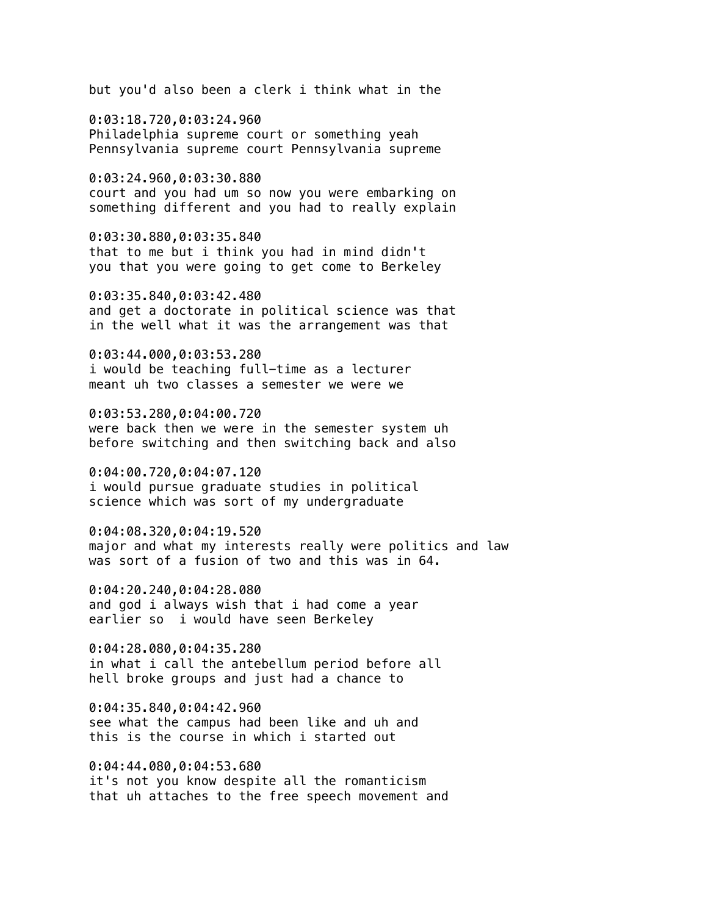but you'd also been a clerk i think what in the

0:03:18.720,0:03:24.960 Philadelphia supreme court or something yeah Pennsylvania supreme court Pennsylvania supreme

0:03:24.960,0:03:30.880 court and you had um so now you were embarking on something different and you had to really explain

0:03:30.880,0:03:35.840 that to me but i think you had in mind didn't you that you were going to get come to Berkeley

0:03:35.840,0:03:42.480 and get a doctorate in political science was that in the well what it was the arrangement was that

0:03:44.000,0:03:53.280 i would be teaching full-time as a lecturer meant uh two classes a semester we were we

0:03:53.280,0:04:00.720 were back then we were in the semester system uh before switching and then switching back and also

0:04:00.720,0:04:07.120 i would pursue graduate studies in political science which was sort of my undergraduate

0:04:08.320,0:04:19.520 major and what my interests really were politics and law was sort of a fusion of two and this was in 64.

0:04:20.240,0:04:28.080 and god i always wish that i had come a year earlier so i would have seen Berkeley

0:04:28.080,0:04:35.280 in what i call the antebellum period before all hell broke groups and just had a chance to

0:04:35.840,0:04:42.960 see what the campus had been like and uh and this is the course in which i started out

0:04:44.080,0:04:53.680 it's not you know despite all the romanticism that uh attaches to the free speech movement and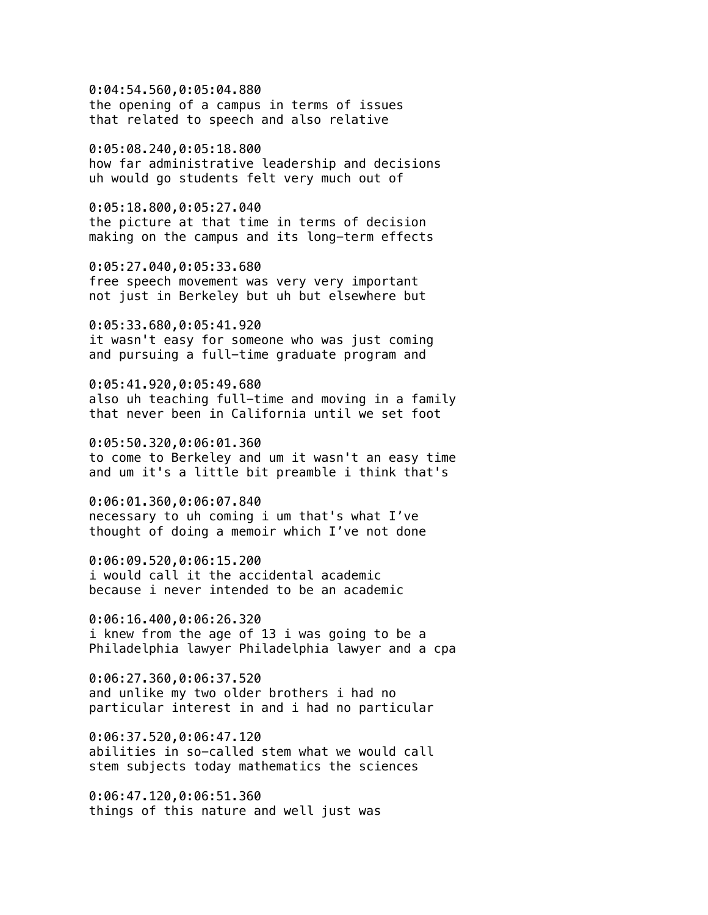0:04:54.560,0:05:04.880 the opening of a campus in terms of issues that related to speech and also relative

0:05:08.240,0:05:18.800 how far administrative leadership and decisions uh would go students felt very much out of

0:05:18.800,0:05:27.040 the picture at that time in terms of decision making on the campus and its long-term effects

0:05:27.040,0:05:33.680 free speech movement was very very important not just in Berkeley but uh but elsewhere but

0:05:33.680,0:05:41.920 it wasn't easy for someone who was just coming and pursuing a full-time graduate program and

0:05:41.920,0:05:49.680 also uh teaching full-time and moving in a family that never been in California until we set foot

0:05:50.320,0:06:01.360 to come to Berkeley and um it wasn't an easy time and um it's a little bit preamble i think that's

0:06:01.360,0:06:07.840 necessary to uh coming i um that's what I've thought of doing a memoir which I've not done

0:06:09.520,0:06:15.200 i would call it the accidental academic because i never intended to be an academic

0:06:16.400,0:06:26.320 i knew from the age of 13 i was going to be a Philadelphia lawyer Philadelphia lawyer and a cpa

0:06:27.360,0:06:37.520 and unlike my two older brothers i had no particular interest in and i had no particular

0:06:37.520,0:06:47.120 abilities in so-called stem what we would call stem subjects today mathematics the sciences

0:06:47.120,0:06:51.360 things of this nature and well just was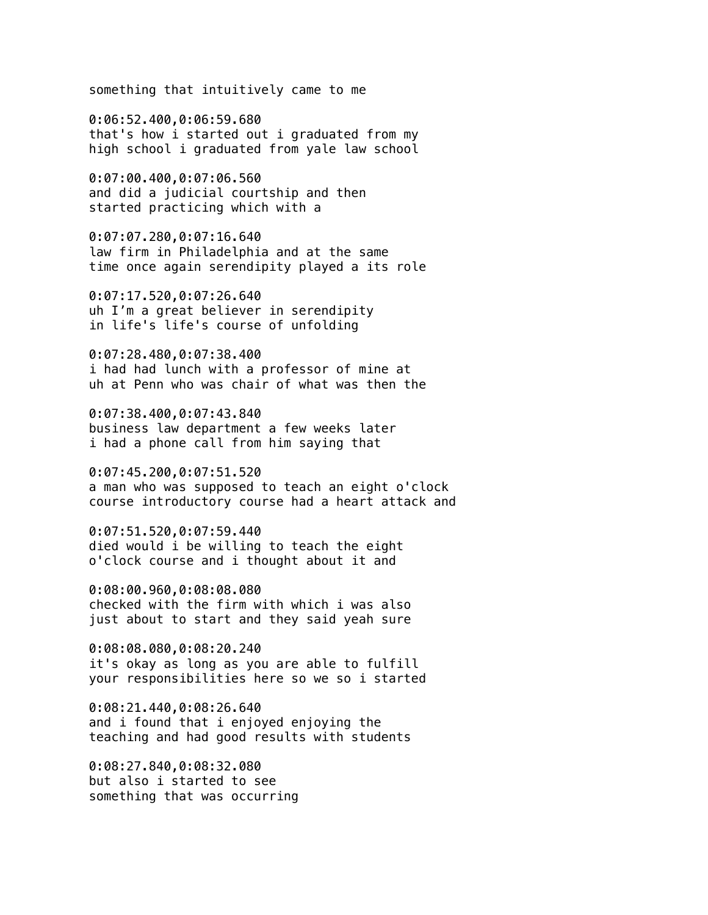something that intuitively came to me

0:06:52.400,0:06:59.680 that's how i started out i graduated from my high school i graduated from yale law school

0:07:00.400,0:07:06.560 and did a judicial courtship and then started practicing which with a

0:07:07.280,0:07:16.640 law firm in Philadelphia and at the same time once again serendipity played a its role

0:07:17.520,0:07:26.640 uh I'm a great believer in serendipity in life's life's course of unfolding

0:07:28.480,0:07:38.400 i had had lunch with a professor of mine at uh at Penn who was chair of what was then the

0:07:38.400,0:07:43.840 business law department a few weeks later i had a phone call from him saying that

0:07:45.200,0:07:51.520 a man who was supposed to teach an eight o'clock course introductory course had a heart attack and

0:07:51.520,0:07:59.440 died would i be willing to teach the eight o'clock course and i thought about it and

0:08:00.960,0:08:08.080 checked with the firm with which i was also just about to start and they said yeah sure

0:08:08.080,0:08:20.240 it's okay as long as you are able to fulfill your responsibilities here so we so i started

0:08:21.440,0:08:26.640 and i found that i enjoyed enjoying the teaching and had good results with students

0:08:27.840,0:08:32.080 but also i started to see something that was occurring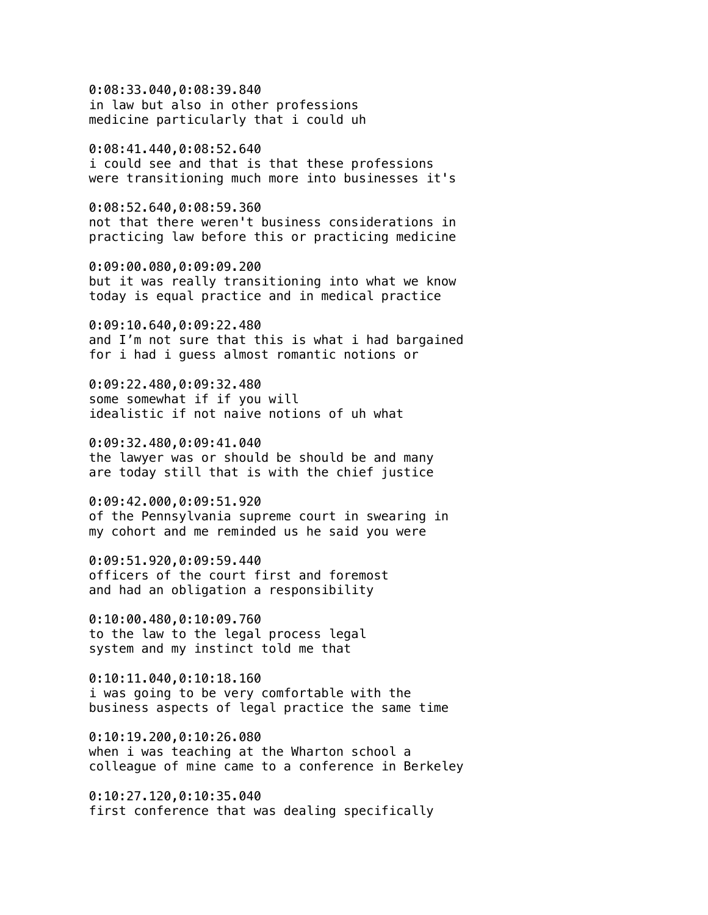0:08:33.040,0:08:39.840 in law but also in other professions medicine particularly that i could uh

0:08:41.440,0:08:52.640 i could see and that is that these professions were transitioning much more into businesses it's

0:08:52.640,0:08:59.360 not that there weren't business considerations in practicing law before this or practicing medicine

0:09:00.080,0:09:09.200 but it was really transitioning into what we know today is equal practice and in medical practice

0:09:10.640,0:09:22.480 and I'm not sure that this is what i had bargained for i had i guess almost romantic notions or

0:09:22.480,0:09:32.480 some somewhat if if you will idealistic if not naive notions of uh what

0:09:32.480,0:09:41.040 the lawyer was or should be should be and many are today still that is with the chief justice

0:09:42.000,0:09:51.920 of the Pennsylvania supreme court in swearing in my cohort and me reminded us he said you were

0:09:51.920,0:09:59.440 officers of the court first and foremost and had an obligation a responsibility

0:10:00.480,0:10:09.760 to the law to the legal process legal system and my instinct told me that

0:10:11.040,0:10:18.160 i was going to be very comfortable with the business aspects of legal practice the same time

0:10:19.200,0:10:26.080 when i was teaching at the Wharton school a colleague of mine came to a conference in Berkeley

0:10:27.120,0:10:35.040 first conference that was dealing specifically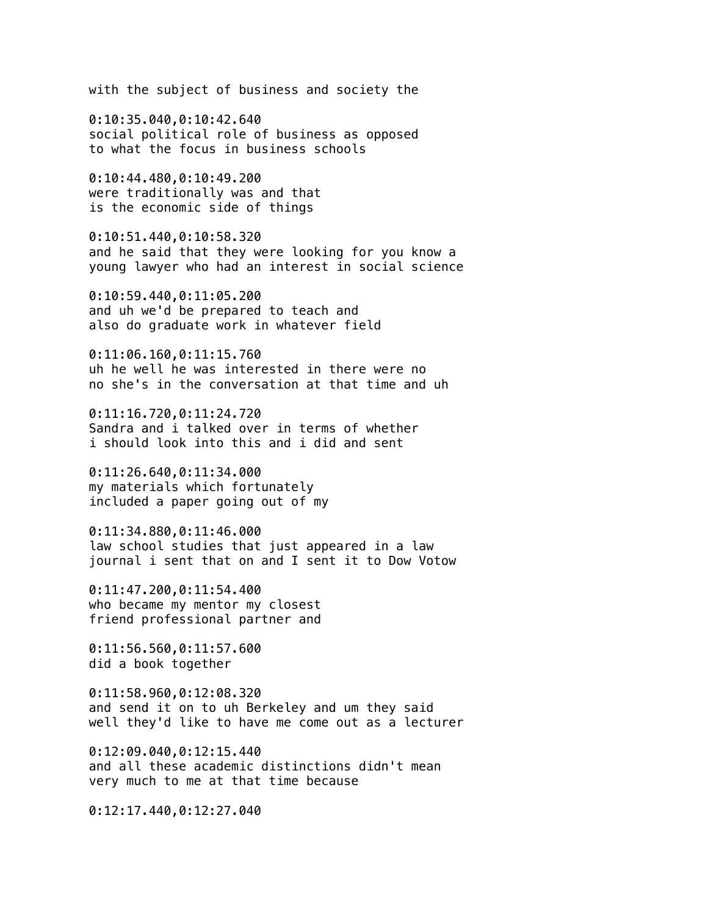with the subject of business and society the

0:10:35.040,0:10:42.640 social political role of business as opposed to what the focus in business schools

0:10:44.480,0:10:49.200 were traditionally was and that is the economic side of things

0:10:51.440,0:10:58.320 and he said that they were looking for you know a young lawyer who had an interest in social science

0:10:59.440,0:11:05.200 and uh we'd be prepared to teach and also do graduate work in whatever field

0:11:06.160,0:11:15.760 uh he well he was interested in there were no no she's in the conversation at that time and uh

0:11:16.720,0:11:24.720 Sandra and i talked over in terms of whether i should look into this and i did and sent

0:11:26.640,0:11:34.000 my materials which fortunately included a paper going out of my

0:11:34.880,0:11:46.000 law school studies that just appeared in a law journal i sent that on and I sent it to Dow Votow

0:11:47.200,0:11:54.400 who became my mentor my closest friend professional partner and

0:11:56.560,0:11:57.600 did a book together

0:11:58.960,0:12:08.320 and send it on to uh Berkeley and um they said well they'd like to have me come out as a lecturer

0:12:09.040,0:12:15.440 and all these academic distinctions didn't mean very much to me at that time because

0:12:17.440,0:12:27.040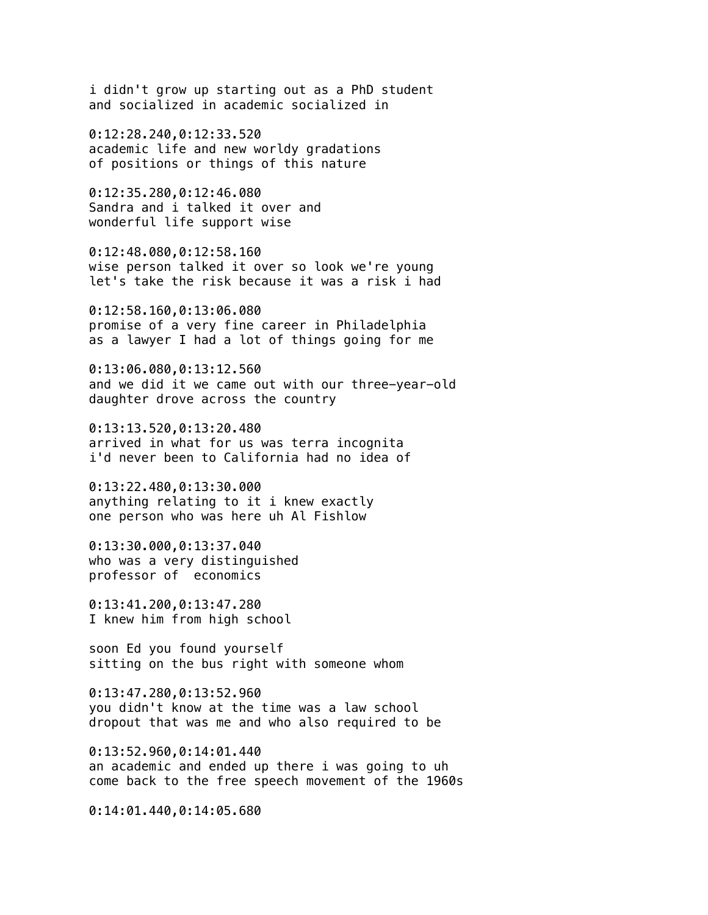i didn't grow up starting out as a PhD student and socialized in academic socialized in

0:12:28.240,0:12:33.520 academic life and new worldy gradations of positions or things of this nature

0:12:35.280,0:12:46.080 Sandra and i talked it over and wonderful life support wise

0:12:48.080,0:12:58.160 wise person talked it over so look we're young let's take the risk because it was a risk i had

0:12:58.160,0:13:06.080 promise of a very fine career in Philadelphia as a lawyer I had a lot of things going for me

0:13:06.080,0:13:12.560 and we did it we came out with our three-year-old daughter drove across the country

0:13:13.520,0:13:20.480 arrived in what for us was terra incognita i'd never been to California had no idea of

0:13:22.480,0:13:30.000 anything relating to it i knew exactly one person who was here uh Al Fishlow

0:13:30.000,0:13:37.040 who was a very distinguished professor of economics

0:13:41.200,0:13:47.280 I knew him from high school

soon Ed you found yourself sitting on the bus right with someone whom

0:13:47.280,0:13:52.960 you didn't know at the time was a law school dropout that was me and who also required to be

0:13:52.960,0:14:01.440 an academic and ended up there i was going to uh come back to the free speech movement of the 1960s

0:14:01.440,0:14:05.680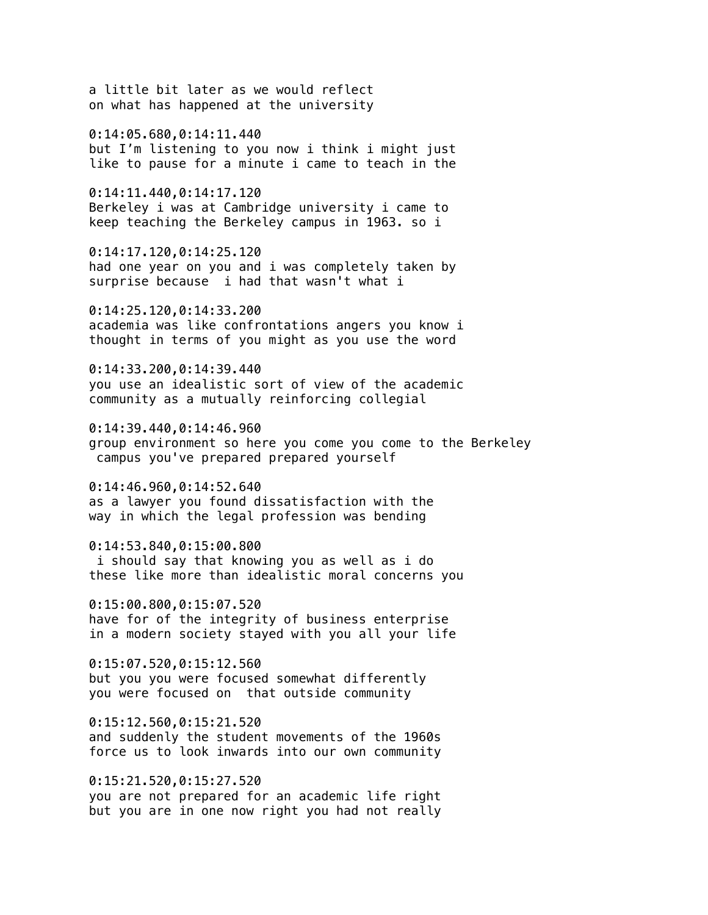a little bit later as we would reflect on what has happened at the university 0:14:05.680,0:14:11.440 but I'm listening to you now i think i might just like to pause for a minute i came to teach in the 0:14:11.440,0:14:17.120 Berkeley i was at Cambridge university i came to keep teaching the Berkeley campus in 1963. so i 0:14:17.120,0:14:25.120 had one year on you and i was completely taken by surprise because i had that wasn't what i 0:14:25.120,0:14:33.200 academia was like confrontations angers you know i thought in terms of you might as you use the word 0:14:33.200,0:14:39.440 you use an idealistic sort of view of the academic community as a mutually reinforcing collegial 0:14:39.440,0:14:46.960 group environment so here you come you come to the Berkeley campus you've prepared prepared yourself 0:14:46.960,0:14:52.640 as a lawyer you found dissatisfaction with the way in which the legal profession was bending 0:14:53.840,0:15:00.800 i should say that knowing you as well as i do these like more than idealistic moral concerns you 0:15:00.800,0:15:07.520 have for of the integrity of business enterprise in a modern society stayed with you all your life 0:15:07.520,0:15:12.560 but you you were focused somewhat differently you were focused on that outside community 0:15:12.560,0:15:21.520 and suddenly the student movements of the 1960s force us to look inwards into our own community 0:15:21.520,0:15:27.520

you are not prepared for an academic life right but you are in one now right you had not really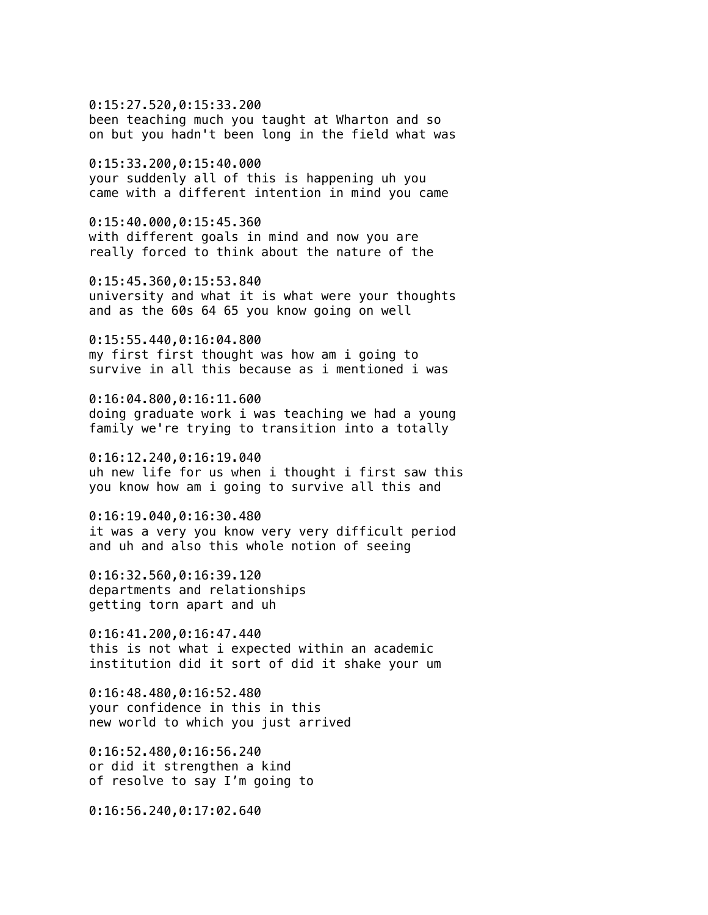0:15:27.520,0:15:33.200 been teaching much you taught at Wharton and so on but you hadn't been long in the field what was

0:15:33.200,0:15:40.000 your suddenly all of this is happening uh you came with a different intention in mind you came

0:15:40.000,0:15:45.360 with different goals in mind and now you are really forced to think about the nature of the

0:15:45.360,0:15:53.840 university and what it is what were your thoughts and as the 60s 64 65 you know going on well

0:15:55.440,0:16:04.800 my first first thought was how am i going to survive in all this because as i mentioned i was

0:16:04.800,0:16:11.600 doing graduate work i was teaching we had a young family we're trying to transition into a totally

0:16:12.240,0:16:19.040 uh new life for us when i thought i first saw this you know how am i going to survive all this and

0:16:19.040,0:16:30.480 it was a very you know very very difficult period and uh and also this whole notion of seeing

0:16:32.560,0:16:39.120 departments and relationships getting torn apart and uh

0:16:41.200,0:16:47.440 this is not what i expected within an academic institution did it sort of did it shake your um

0:16:48.480,0:16:52.480 your confidence in this in this new world to which you just arrived

0:16:52.480,0:16:56.240 or did it strengthen a kind of resolve to say I'm going to

0:16:56.240,0:17:02.640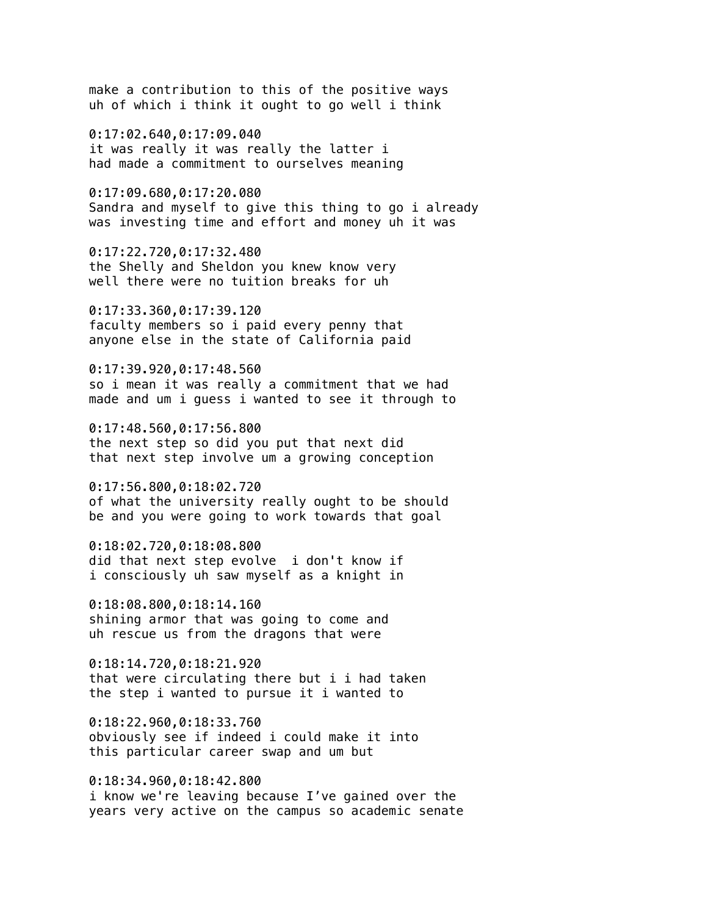make a contribution to this of the positive ways uh of which i think it ought to go well i think

0:17:02.640,0:17:09.040 it was really it was really the latter i had made a commitment to ourselves meaning

0:17:09.680,0:17:20.080 Sandra and myself to give this thing to go i already was investing time and effort and money uh it was

0:17:22.720,0:17:32.480 the Shelly and Sheldon you knew know very well there were no tuition breaks for uh

0:17:33.360,0:17:39.120 faculty members so i paid every penny that anyone else in the state of California paid

0:17:39.920,0:17:48.560 so i mean it was really a commitment that we had made and um i guess i wanted to see it through to

0:17:48.560,0:17:56.800 the next step so did you put that next did that next step involve um a growing conception

0:17:56.800,0:18:02.720 of what the university really ought to be should be and you were going to work towards that goal

0:18:02.720,0:18:08.800 did that next step evolve i don't know if i consciously uh saw myself as a knight in

0:18:08.800,0:18:14.160 shining armor that was going to come and uh rescue us from the dragons that were

0:18:14.720,0:18:21.920 that were circulating there but i i had taken the step i wanted to pursue it i wanted to

0:18:22.960,0:18:33.760 obviously see if indeed i could make it into this particular career swap and um but

0:18:34.960,0:18:42.800 i know we're leaving because I've gained over the years very active on the campus so academic senate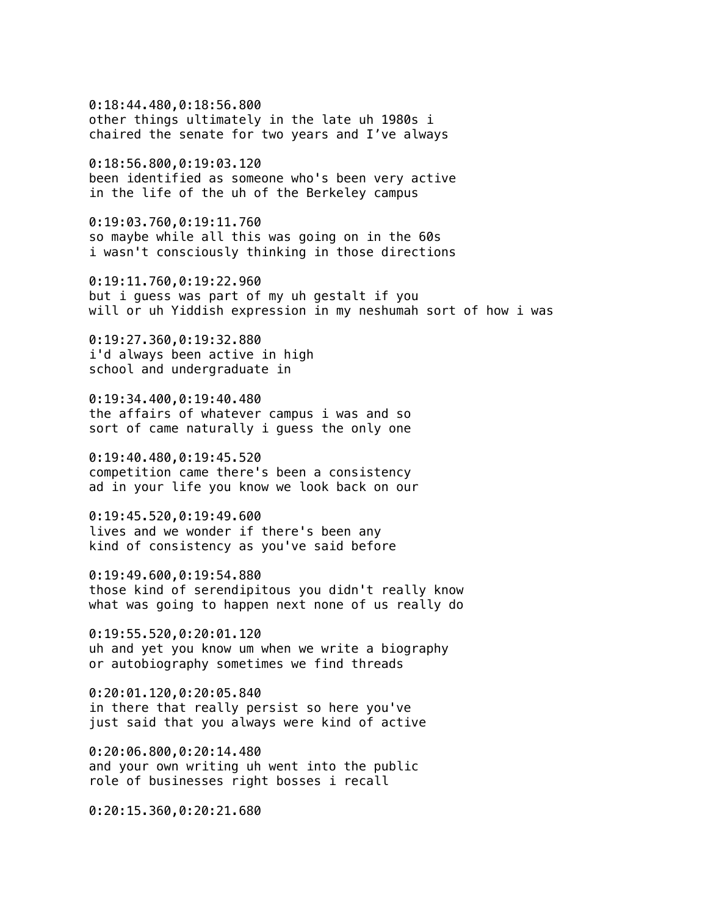0:18:44.480,0:18:56.800 other things ultimately in the late uh 1980s i chaired the senate for two years and I've always

0:18:56.800,0:19:03.120 been identified as someone who's been very active in the life of the uh of the Berkeley campus

0:19:03.760,0:19:11.760 so maybe while all this was going on in the 60s i wasn't consciously thinking in those directions

0:19:11.760,0:19:22.960 but i guess was part of my uh gestalt if you will or uh Yiddish expression in my neshumah sort of how i was

0:19:27.360,0:19:32.880 i'd always been active in high school and undergraduate in

0:19:34.400,0:19:40.480 the affairs of whatever campus i was and so sort of came naturally i guess the only one

0:19:40.480,0:19:45.520 competition came there's been a consistency ad in your life you know we look back on our

0:19:45.520,0:19:49.600 lives and we wonder if there's been any kind of consistency as you've said before

0:19:49.600,0:19:54.880 those kind of serendipitous you didn't really know what was going to happen next none of us really do

0:19:55.520,0:20:01.120 uh and yet you know um when we write a biography or autobiography sometimes we find threads

0:20:01.120,0:20:05.840 in there that really persist so here you've just said that you always were kind of active

0:20:06.800,0:20:14.480 and your own writing uh went into the public role of businesses right bosses i recall

0:20:15.360,0:20:21.680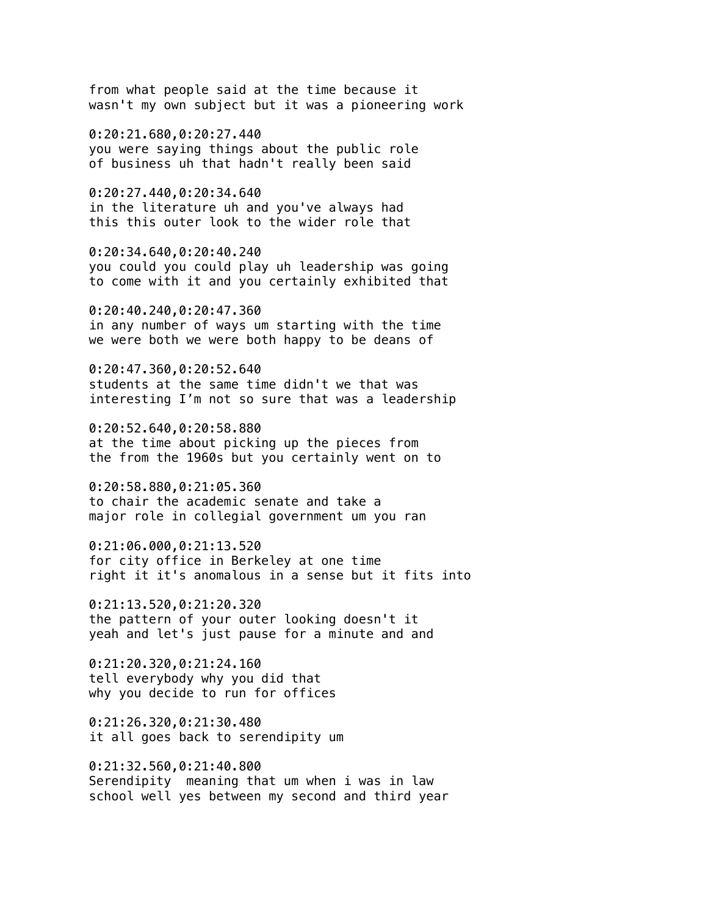from what people said at the time because it wasn't my own subject but it was a pioneering work

0:20:21.680,0:20:27.440 you were saying things about the public role of business uh that hadn't really been said

0:20:27.440,0:20:34.640 in the literature uh and you've always had this this outer look to the wider role that

0:20:34.640,0:20:40.240 you could you could play uh leadership was going to come with it and you certainly exhibited that

0:20:40.240,0:20:47.360 in any number of ways um starting with the time we were both we were both happy to be deans of

0:20:47.360,0:20:52.640 students at the same time didn't we that was interesting I'm not so sure that was a leadership

0:20:52.640,0:20:58.880 at the time about picking up the pieces from the from the 1960s but you certainly went on to

0:20:58.880,0:21:05.360 to chair the academic senate and take a major role in collegial government um you ran

0:21:06.000,0:21:13.520 for city office in Berkeley at one time right it it's anomalous in a sense but it fits into

0:21:13.520,0:21:20.320 the pattern of your outer looking doesn't it yeah and let's just pause for a minute and and

0:21:20.320,0:21:24.160 tell everybody why you did that why you decide to run for offices

0:21:26.320,0:21:30.480 it all goes back to serendipity um

0:21:32.560,0:21:40.800 Serendipity meaning that um when i was in law school well yes between my second and third year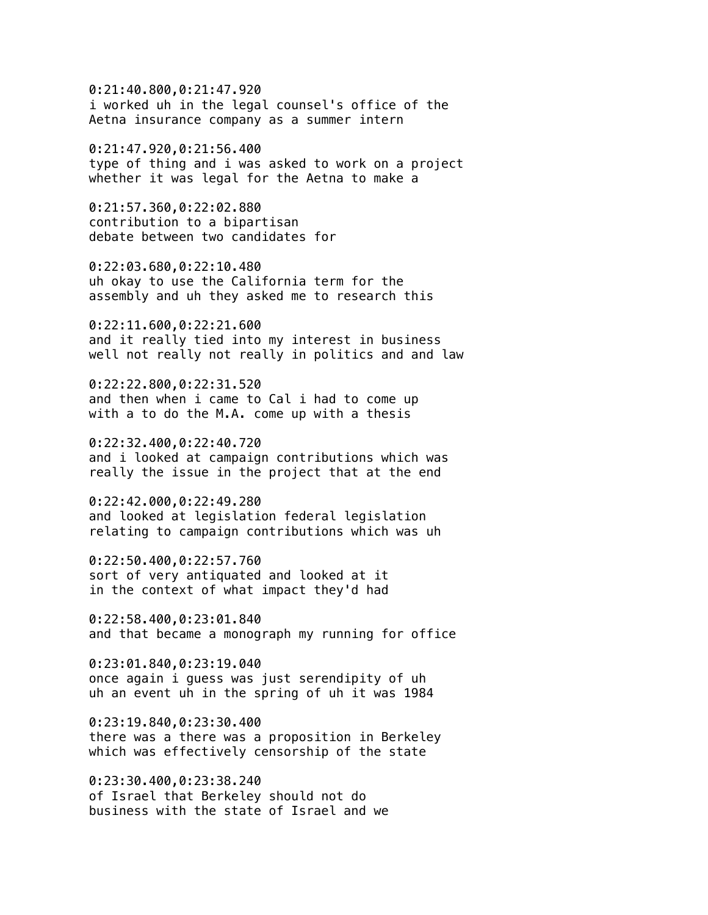0:21:40.800,0:21:47.920 i worked uh in the legal counsel's office of the Aetna insurance company as a summer intern

0:21:47.920,0:21:56.400 type of thing and i was asked to work on a project whether it was legal for the Aetna to make a

0:21:57.360,0:22:02.880 contribution to a bipartisan debate between two candidates for

0:22:03.680,0:22:10.480 uh okay to use the California term for the assembly and uh they asked me to research this

0:22:11.600,0:22:21.600 and it really tied into my interest in business well not really not really in politics and and law

0:22:22.800,0:22:31.520 and then when i came to Cal i had to come up with a to do the M.A. come up with a thesis

0:22:32.400,0:22:40.720 and i looked at campaign contributions which was really the issue in the project that at the end

0:22:42.000,0:22:49.280 and looked at legislation federal legislation relating to campaign contributions which was uh

0:22:50.400,0:22:57.760 sort of very antiquated and looked at it in the context of what impact they'd had

0:22:58.400,0:23:01.840 and that became a monograph my running for office

0:23:01.840,0:23:19.040 once again i guess was just serendipity of uh uh an event uh in the spring of uh it was 1984

0:23:19.840,0:23:30.400 there was a there was a proposition in Berkeley which was effectively censorship of the state

0:23:30.400,0:23:38.240 of Israel that Berkeley should not do business with the state of Israel and we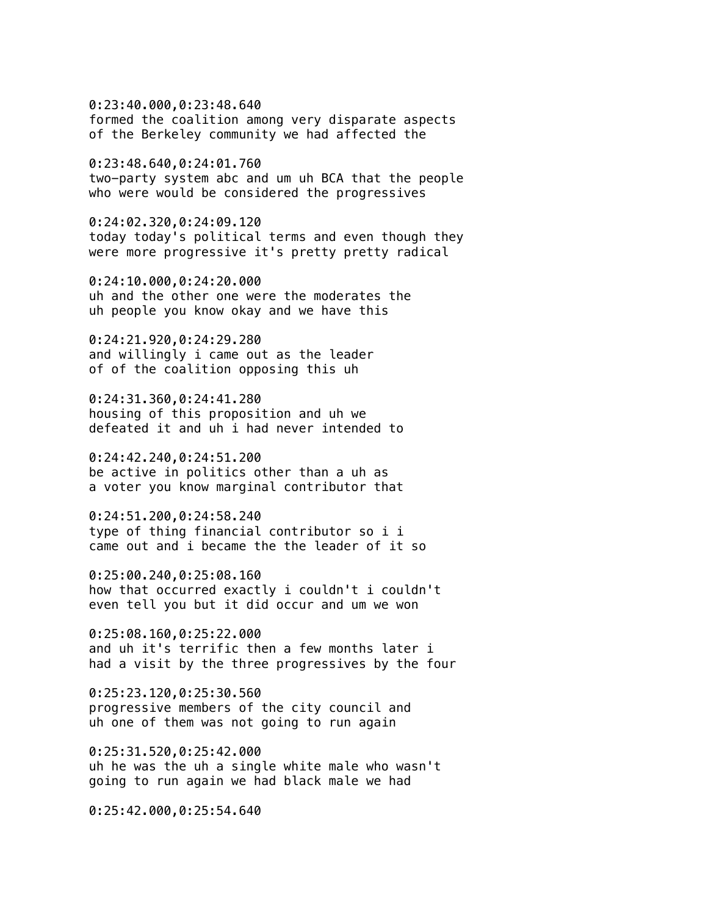0:23:40.000,0:23:48.640 formed the coalition among very disparate aspects of the Berkeley community we had affected the

0:23:48.640,0:24:01.760 two-party system abc and um uh BCA that the people who were would be considered the progressives

0:24:02.320,0:24:09.120 today today's political terms and even though they were more progressive it's pretty pretty radical

0:24:10.000,0:24:20.000 uh and the other one were the moderates the uh people you know okay and we have this

0:24:21.920,0:24:29.280 and willingly i came out as the leader of of the coalition opposing this uh

0:24:31.360,0:24:41.280 housing of this proposition and uh we defeated it and uh i had never intended to

0:24:42.240,0:24:51.200 be active in politics other than a uh as a voter you know marginal contributor that

0:24:51.200,0:24:58.240 type of thing financial contributor so i i came out and i became the the leader of it so

0:25:00.240,0:25:08.160 how that occurred exactly i couldn't i couldn't even tell you but it did occur and um we won

0:25:08.160,0:25:22.000 and uh it's terrific then a few months later i had a visit by the three progressives by the four

0:25:23.120,0:25:30.560 progressive members of the city council and uh one of them was not going to run again

0:25:31.520,0:25:42.000 uh he was the uh a single white male who wasn't going to run again we had black male we had

0:25:42.000,0:25:54.640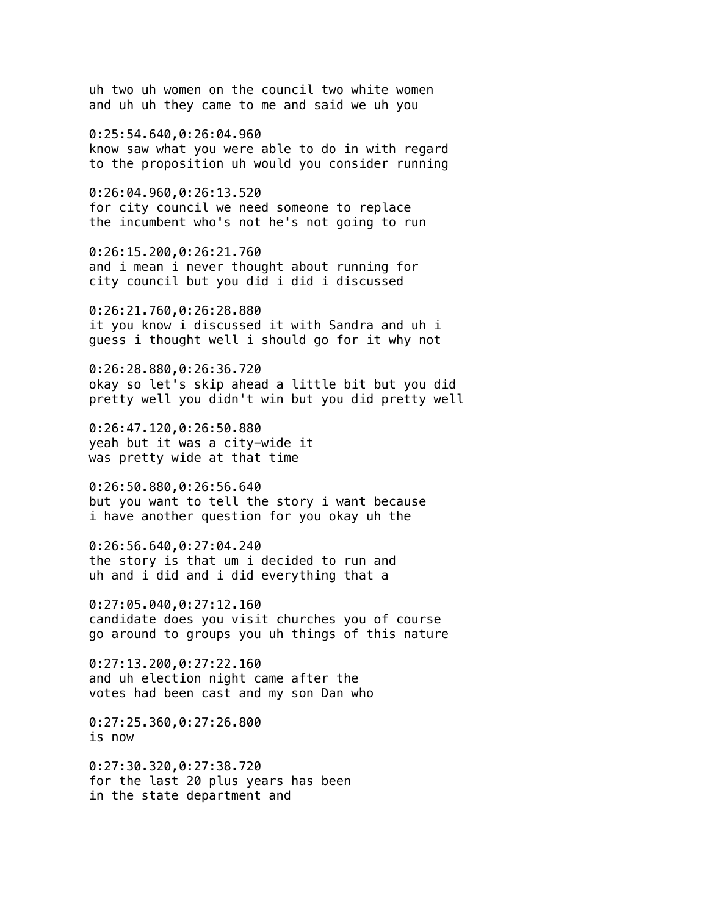uh two uh women on the council two white women and uh uh they came to me and said we uh you

0:25:54.640,0:26:04.960 know saw what you were able to do in with regard to the proposition uh would you consider running

0:26:04.960,0:26:13.520 for city council we need someone to replace the incumbent who's not he's not going to run

0:26:15.200,0:26:21.760 and i mean i never thought about running for city council but you did i did i discussed

0:26:21.760,0:26:28.880 it you know i discussed it with Sandra and uh i guess i thought well i should go for it why not

0:26:28.880,0:26:36.720 okay so let's skip ahead a little bit but you did pretty well you didn't win but you did pretty well

0:26:47.120,0:26:50.880 yeah but it was a city-wide it was pretty wide at that time

0:26:50.880,0:26:56.640 but you want to tell the story i want because i have another question for you okay uh the

0:26:56.640,0:27:04.240 the story is that um i decided to run and uh and i did and i did everything that a

0:27:05.040,0:27:12.160 candidate does you visit churches you of course go around to groups you uh things of this nature

0:27:13.200,0:27:22.160 and uh election night came after the votes had been cast and my son Dan who

0:27:25.360,0:27:26.800 is now

0:27:30.320,0:27:38.720 for the last 20 plus years has been in the state department and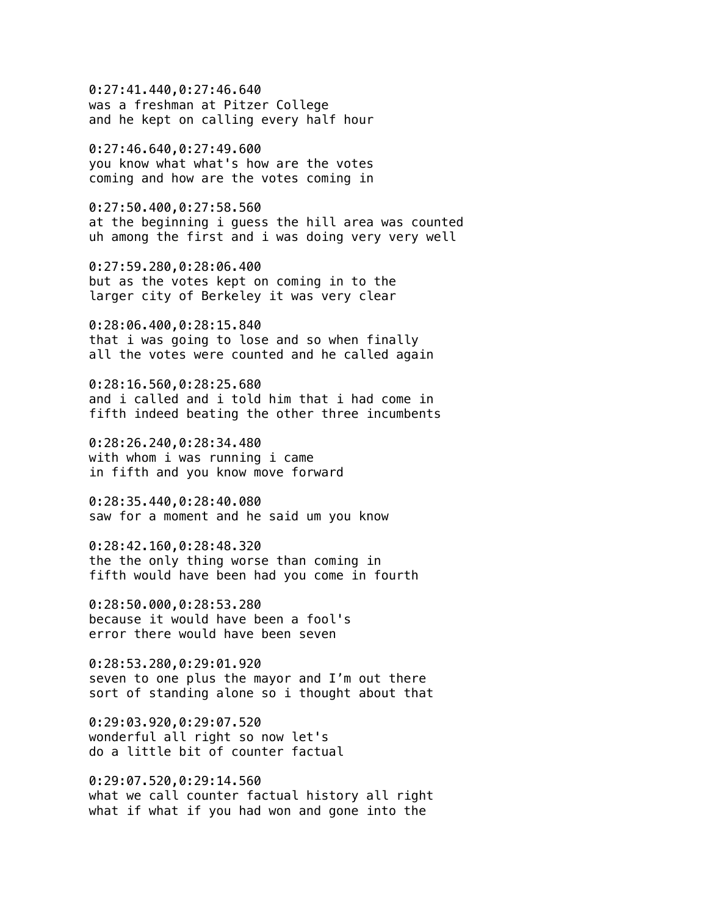0:27:41.440,0:27:46.640 was a freshman at Pitzer College and he kept on calling every half hour

0:27:46.640,0:27:49.600 you know what what's how are the votes coming and how are the votes coming in

0:27:50.400,0:27:58.560 at the beginning i guess the hill area was counted uh among the first and i was doing very very well

0:27:59.280,0:28:06.400 but as the votes kept on coming in to the larger city of Berkeley it was very clear

0:28:06.400,0:28:15.840 that i was going to lose and so when finally all the votes were counted and he called again

0:28:16.560,0:28:25.680 and i called and i told him that i had come in fifth indeed beating the other three incumbents

0:28:26.240,0:28:34.480 with whom i was running i came in fifth and you know move forward

0:28:35.440,0:28:40.080 saw for a moment and he said um you know

0:28:42.160,0:28:48.320 the the only thing worse than coming in fifth would have been had you come in fourth

0:28:50.000,0:28:53.280 because it would have been a fool's error there would have been seven

0:28:53.280,0:29:01.920 seven to one plus the mayor and I'm out there sort of standing alone so i thought about that

0:29:03.920,0:29:07.520 wonderful all right so now let's do a little bit of counter factual

0:29:07.520,0:29:14.560 what we call counter factual history all right what if what if you had won and gone into the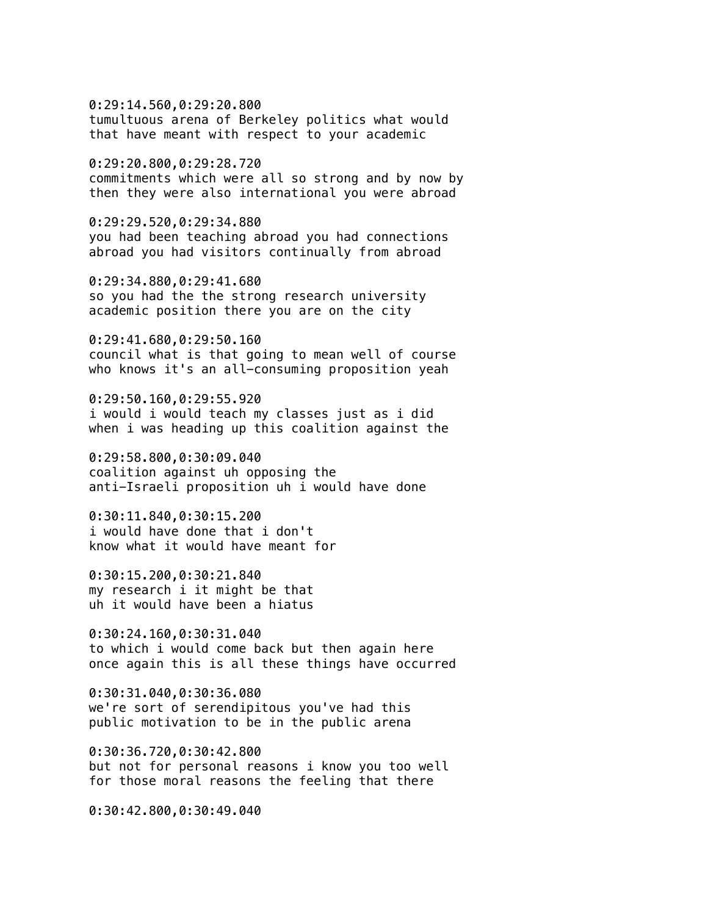0:29:14.560,0:29:20.800 tumultuous arena of Berkeley politics what would that have meant with respect to your academic

0:29:20.800,0:29:28.720 commitments which were all so strong and by now by then they were also international you were abroad

0:29:29.520,0:29:34.880 you had been teaching abroad you had connections abroad you had visitors continually from abroad

0:29:34.880,0:29:41.680 so you had the the strong research university academic position there you are on the city

0:29:41.680,0:29:50.160 council what is that going to mean well of course who knows it's an all-consuming proposition yeah

0:29:50.160,0:29:55.920 i would i would teach my classes just as i did when i was heading up this coalition against the

0:29:58.800,0:30:09.040 coalition against uh opposing the anti-Israeli proposition uh i would have done

0:30:11.840,0:30:15.200 i would have done that i don't know what it would have meant for

0:30:15.200,0:30:21.840 my research i it might be that uh it would have been a hiatus

0:30:24.160,0:30:31.040 to which i would come back but then again here once again this is all these things have occurred

0:30:31.040,0:30:36.080 we're sort of serendipitous you've had this public motivation to be in the public arena

0:30:36.720,0:30:42.800 but not for personal reasons i know you too well for those moral reasons the feeling that there

0:30:42.800,0:30:49.040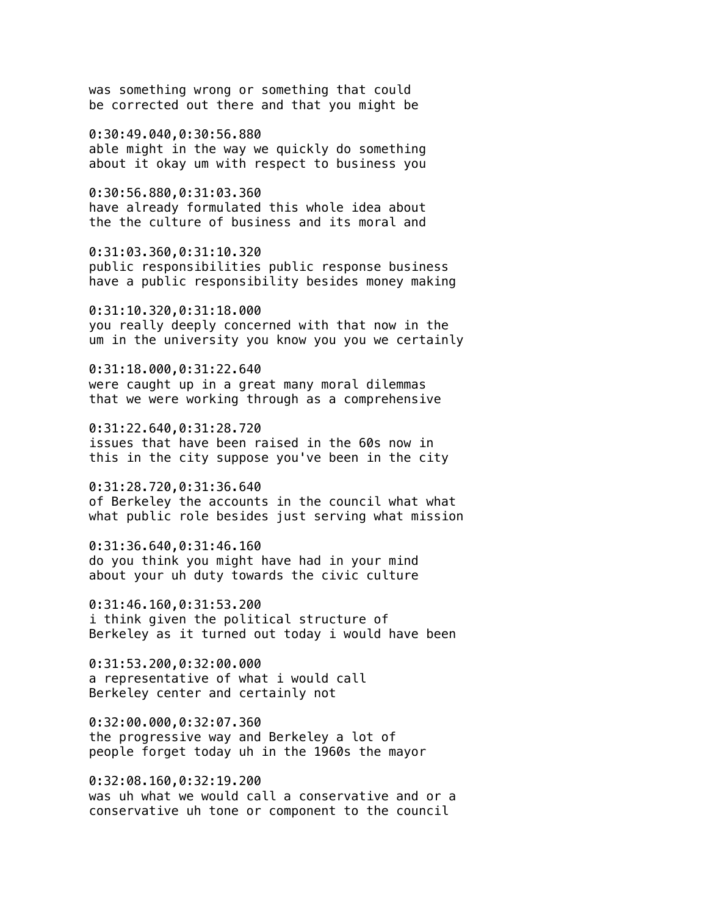was something wrong or something that could be corrected out there and that you might be

0:30:49.040,0:30:56.880 able might in the way we quickly do something about it okay um with respect to business you

0:30:56.880,0:31:03.360 have already formulated this whole idea about the the culture of business and its moral and

0:31:03.360,0:31:10.320 public responsibilities public response business have a public responsibility besides money making

0:31:10.320,0:31:18.000 you really deeply concerned with that now in the um in the university you know you you we certainly

0:31:18.000,0:31:22.640 were caught up in a great many moral dilemmas that we were working through as a comprehensive

0:31:22.640,0:31:28.720 issues that have been raised in the 60s now in this in the city suppose you've been in the city

0:31:28.720,0:31:36.640 of Berkeley the accounts in the council what what what public role besides just serving what mission

0:31:36.640,0:31:46.160 do you think you might have had in your mind about your uh duty towards the civic culture

0:31:46.160,0:31:53.200 i think given the political structure of Berkeley as it turned out today i would have been

0:31:53.200,0:32:00.000 a representative of what i would call Berkeley center and certainly not

0:32:00.000,0:32:07.360 the progressive way and Berkeley a lot of people forget today uh in the 1960s the mayor

0:32:08.160,0:32:19.200 was uh what we would call a conservative and or a conservative uh tone or component to the council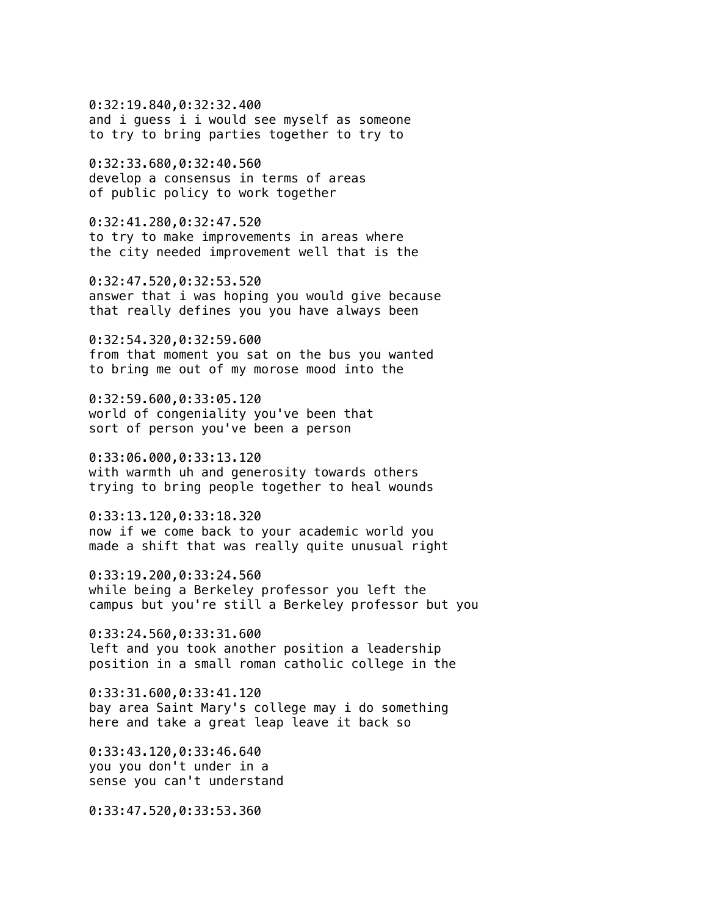0:32:19.840,0:32:32.400 and i guess i i would see myself as someone to try to bring parties together to try to

0:32:33.680,0:32:40.560 develop a consensus in terms of areas of public policy to work together

0:32:41.280,0:32:47.520 to try to make improvements in areas where the city needed improvement well that is the

0:32:47.520,0:32:53.520 answer that i was hoping you would give because that really defines you you have always been

0:32:54.320,0:32:59.600 from that moment you sat on the bus you wanted to bring me out of my morose mood into the

0:32:59.600,0:33:05.120 world of congeniality you've been that sort of person you've been a person

0:33:06.000,0:33:13.120 with warmth uh and generosity towards others trying to bring people together to heal wounds

0:33:13.120,0:33:18.320 now if we come back to your academic world you made a shift that was really quite unusual right

0:33:19.200,0:33:24.560 while being a Berkeley professor you left the campus but you're still a Berkeley professor but you

0:33:24.560,0:33:31.600 left and you took another position a leadership position in a small roman catholic college in the

0:33:31.600,0:33:41.120 bay area Saint Mary's college may i do something here and take a great leap leave it back so

0:33:43.120,0:33:46.640 you you don't under in a sense you can't understand

0:33:47.520,0:33:53.360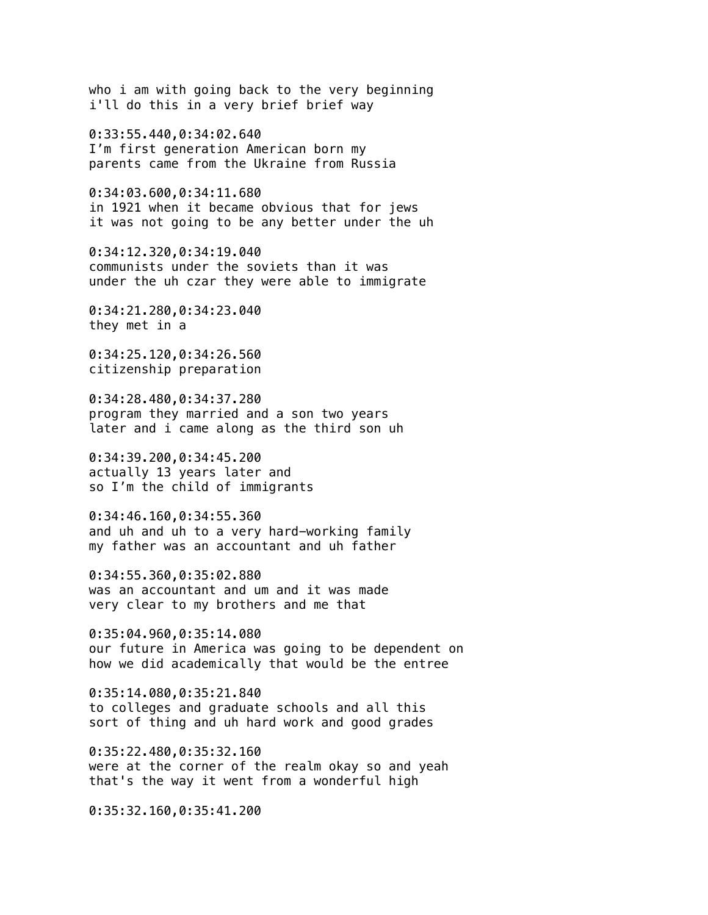who i am with going back to the very beginning i'll do this in a very brief brief way

0:33:55.440,0:34:02.640 I'm first generation American born my parents came from the Ukraine from Russia

0:34:03.600,0:34:11.680 in 1921 when it became obvious that for jews it was not going to be any better under the uh

0:34:12.320,0:34:19.040 communists under the soviets than it was under the uh czar they were able to immigrate

0:34:21.280,0:34:23.040 they met in a

0:34:25.120,0:34:26.560 citizenship preparation

0:34:28.480,0:34:37.280 program they married and a son two years later and i came along as the third son uh

0:34:39.200,0:34:45.200 actually 13 years later and so I'm the child of immigrants

0:34:46.160,0:34:55.360 and uh and uh to a very hard-working family my father was an accountant and uh father

0:34:55.360,0:35:02.880 was an accountant and um and it was made very clear to my brothers and me that

0:35:04.960,0:35:14.080 our future in America was going to be dependent on how we did academically that would be the entree

0:35:14.080,0:35:21.840 to colleges and graduate schools and all this sort of thing and uh hard work and good grades

0:35:22.480,0:35:32.160 were at the corner of the realm okay so and yeah that's the way it went from a wonderful high

0:35:32.160,0:35:41.200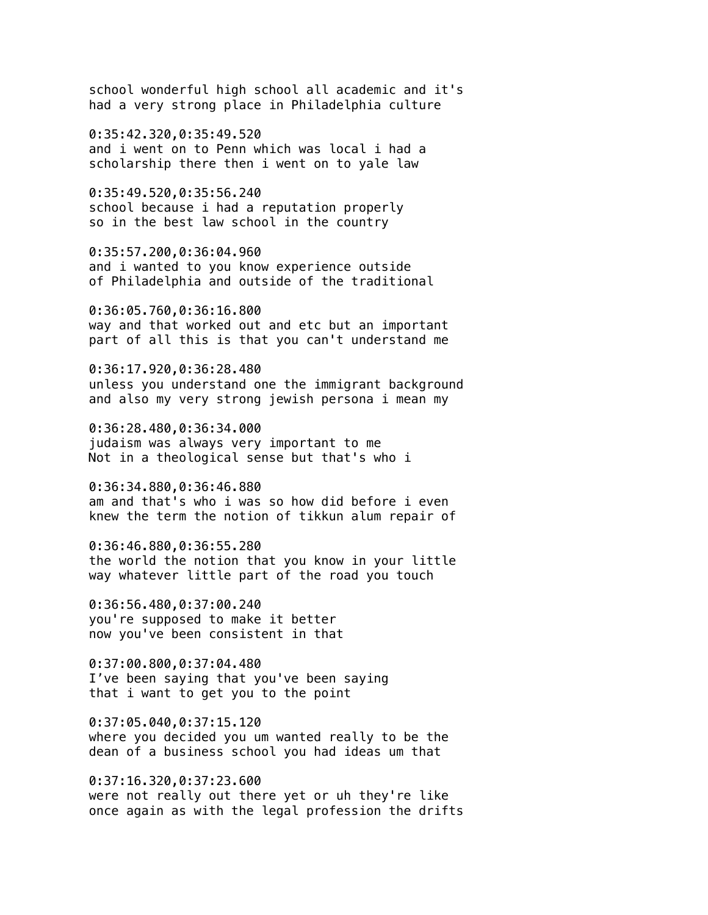school wonderful high school all academic and it's had a very strong place in Philadelphia culture

0:35:42.320,0:35:49.520 and i went on to Penn which was local i had a scholarship there then i went on to yale law

0:35:49.520,0:35:56.240 school because i had a reputation properly so in the best law school in the country

0:35:57.200,0:36:04.960 and i wanted to you know experience outside of Philadelphia and outside of the traditional

0:36:05.760,0:36:16.800 way and that worked out and etc but an important part of all this is that you can't understand me

0:36:17.920,0:36:28.480 unless you understand one the immigrant background and also my very strong jewish persona i mean my

0:36:28.480,0:36:34.000 judaism was always very important to me Not in a theological sense but that's who i

0:36:34.880,0:36:46.880 am and that's who i was so how did before i even knew the term the notion of tikkun alum repair of

0:36:46.880,0:36:55.280 the world the notion that you know in your little way whatever little part of the road you touch

0:36:56.480,0:37:00.240 you're supposed to make it better now you've been consistent in that

0:37:00.800,0:37:04.480 I've been saying that you've been saying that i want to get you to the point

0:37:05.040,0:37:15.120 where you decided you um wanted really to be the dean of a business school you had ideas um that

0:37:16.320,0:37:23.600 were not really out there yet or uh they're like once again as with the legal profession the drifts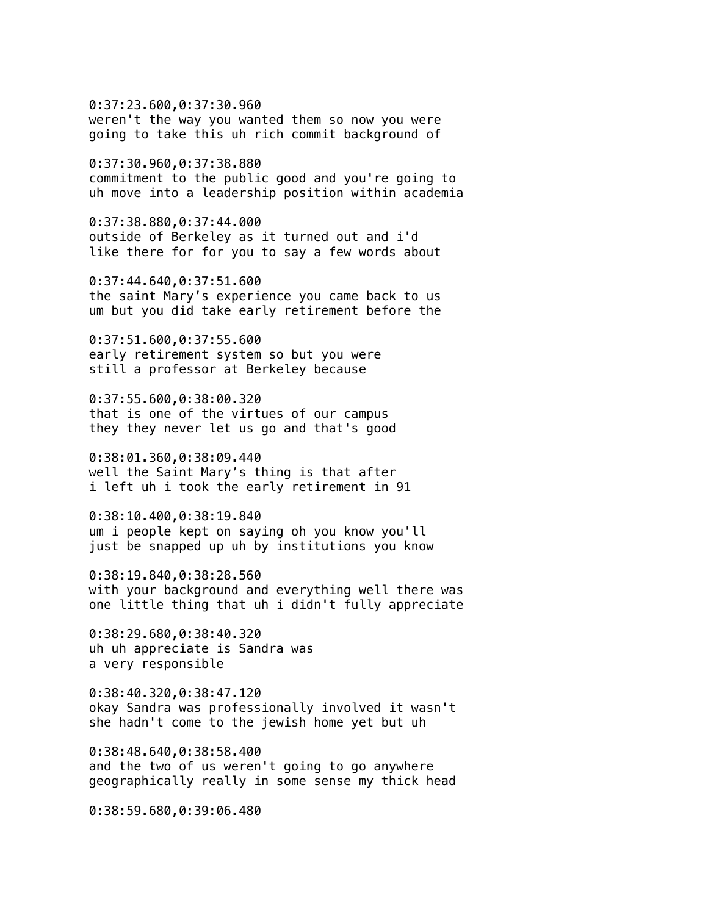0:37:23.600,0:37:30.960 weren't the way you wanted them so now you were going to take this uh rich commit background of

0:37:30.960,0:37:38.880 commitment to the public good and you're going to uh move into a leadership position within academia

0:37:38.880,0:37:44.000 outside of Berkeley as it turned out and i'd like there for for you to say a few words about

0:37:44.640,0:37:51.600 the saint Mary's experience you came back to us um but you did take early retirement before the

0:37:51.600,0:37:55.600 early retirement system so but you were still a professor at Berkeley because

0:37:55.600,0:38:00.320 that is one of the virtues of our campus they they never let us go and that's good

0:38:01.360,0:38:09.440 well the Saint Mary's thing is that after i left uh i took the early retirement in 91

0:38:10.400,0:38:19.840 um i people kept on saying oh you know you'll just be snapped up uh by institutions you know

0:38:19.840,0:38:28.560 with your background and everything well there was one little thing that uh i didn't fully appreciate

0:38:29.680,0:38:40.320 uh uh appreciate is Sandra was a very responsible

0:38:40.320,0:38:47.120 okay Sandra was professionally involved it wasn't she hadn't come to the jewish home yet but uh

0:38:48.640,0:38:58.400 and the two of us weren't going to go anywhere geographically really in some sense my thick head

0:38:59.680,0:39:06.480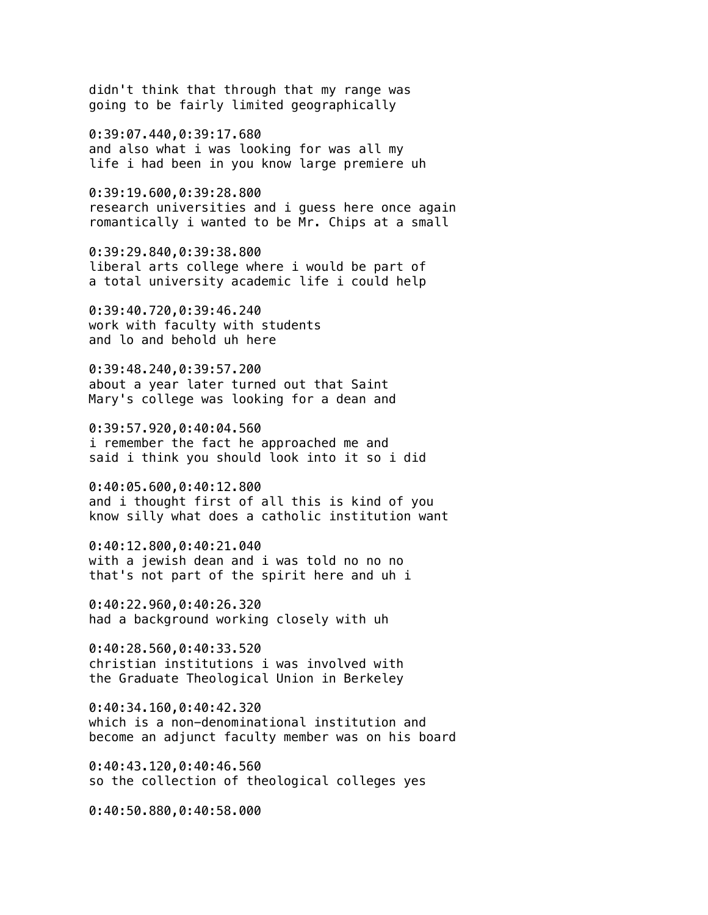didn't think that through that my range was going to be fairly limited geographically

0:39:07.440,0:39:17.680 and also what i was looking for was all my life i had been in you know large premiere uh

0:39:19.600,0:39:28.800 research universities and i guess here once again romantically i wanted to be Mr. Chips at a small

0:39:29.840,0:39:38.800 liberal arts college where i would be part of a total university academic life i could help

0:39:40.720,0:39:46.240 work with faculty with students and lo and behold uh here

0:39:48.240,0:39:57.200 about a year later turned out that Saint Mary's college was looking for a dean and

0:39:57.920,0:40:04.560 i remember the fact he approached me and said i think you should look into it so i did

0:40:05.600,0:40:12.800 and i thought first of all this is kind of you know silly what does a catholic institution want

0:40:12.800,0:40:21.040 with a jewish dean and i was told no no no that's not part of the spirit here and uh i

0:40:22.960,0:40:26.320 had a background working closely with uh

0:40:28.560,0:40:33.520 christian institutions i was involved with the Graduate Theological Union in Berkeley

0:40:34.160,0:40:42.320 which is a non-denominational institution and become an adjunct faculty member was on his board

0:40:43.120,0:40:46.560 so the collection of theological colleges yes

0:40:50.880,0:40:58.000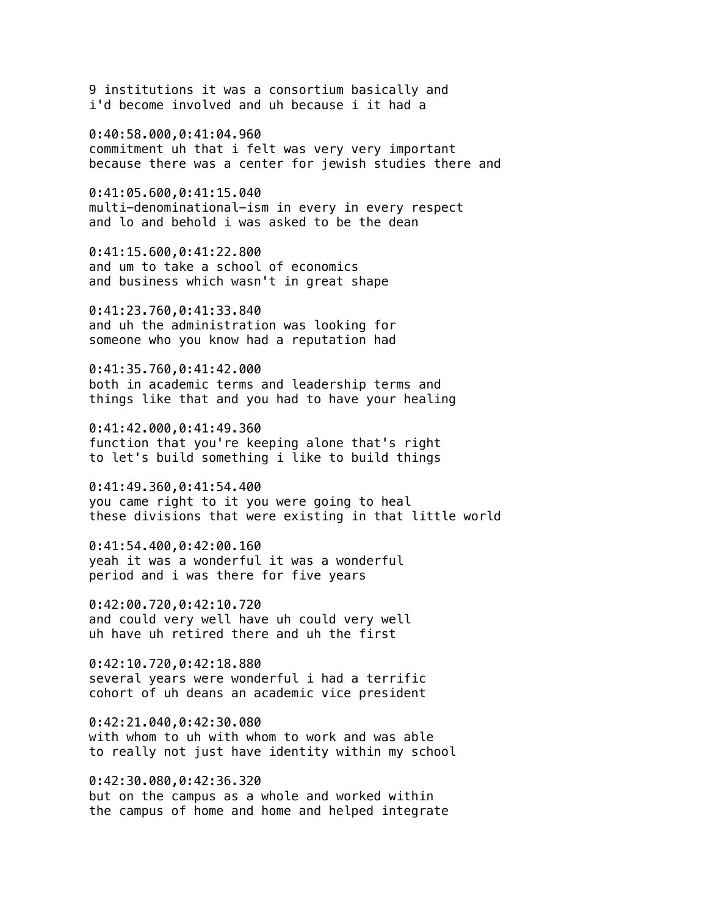9 institutions it was a consortium basically and i'd become involved and uh because i it had a

0:40:58.000,0:41:04.960 commitment uh that i felt was very very important because there was a center for jewish studies there and

0:41:05.600,0:41:15.040 multi-denominational-ism in every in every respect and lo and behold i was asked to be the dean

0:41:15.600,0:41:22.800 and um to take a school of economics and business which wasn't in great shape

0:41:23.760,0:41:33.840 and uh the administration was looking for someone who you know had a reputation had

0:41:35.760,0:41:42.000 both in academic terms and leadership terms and things like that and you had to have your healing

0:41:42.000,0:41:49.360 function that you're keeping alone that's right to let's build something i like to build things

0:41:49.360,0:41:54.400 you came right to it you were going to heal these divisions that were existing in that little world

0:41:54.400,0:42:00.160 yeah it was a wonderful it was a wonderful period and i was there for five years

0:42:00.720,0:42:10.720 and could very well have uh could very well uh have uh retired there and uh the first

0:42:10.720,0:42:18.880 several years were wonderful i had a terrific cohort of uh deans an academic vice president

0:42:21.040,0:42:30.080 with whom to uh with whom to work and was able to really not just have identity within my school

0:42:30.080,0:42:36.320 but on the campus as a whole and worked within the campus of home and home and helped integrate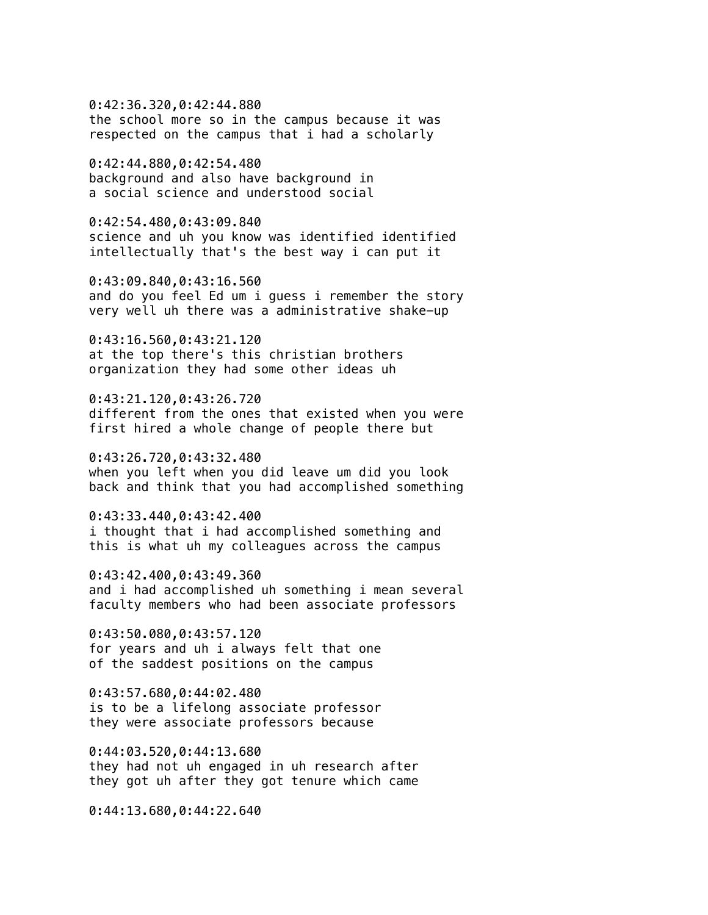0:42:36.320,0:42:44.880 the school more so in the campus because it was respected on the campus that i had a scholarly

0:42:44.880,0:42:54.480 background and also have background in a social science and understood social

0:42:54.480,0:43:09.840 science and uh you know was identified identified intellectually that's the best way i can put it

0:43:09.840,0:43:16.560 and do you feel Ed um i guess i remember the story very well uh there was a administrative shake-up

0:43:16.560,0:43:21.120 at the top there's this christian brothers organization they had some other ideas uh

0:43:21.120,0:43:26.720 different from the ones that existed when you were first hired a whole change of people there but

0:43:26.720,0:43:32.480 when you left when you did leave um did you look back and think that you had accomplished something

0:43:33.440,0:43:42.400 i thought that i had accomplished something and this is what uh my colleagues across the campus

0:43:42.400,0:43:49.360 and i had accomplished uh something i mean several faculty members who had been associate professors

0:43:50.080,0:43:57.120 for years and uh i always felt that one of the saddest positions on the campus

0:43:57.680,0:44:02.480 is to be a lifelong associate professor they were associate professors because

0:44:03.520,0:44:13.680 they had not uh engaged in uh research after they got uh after they got tenure which came

0:44:13.680,0:44:22.640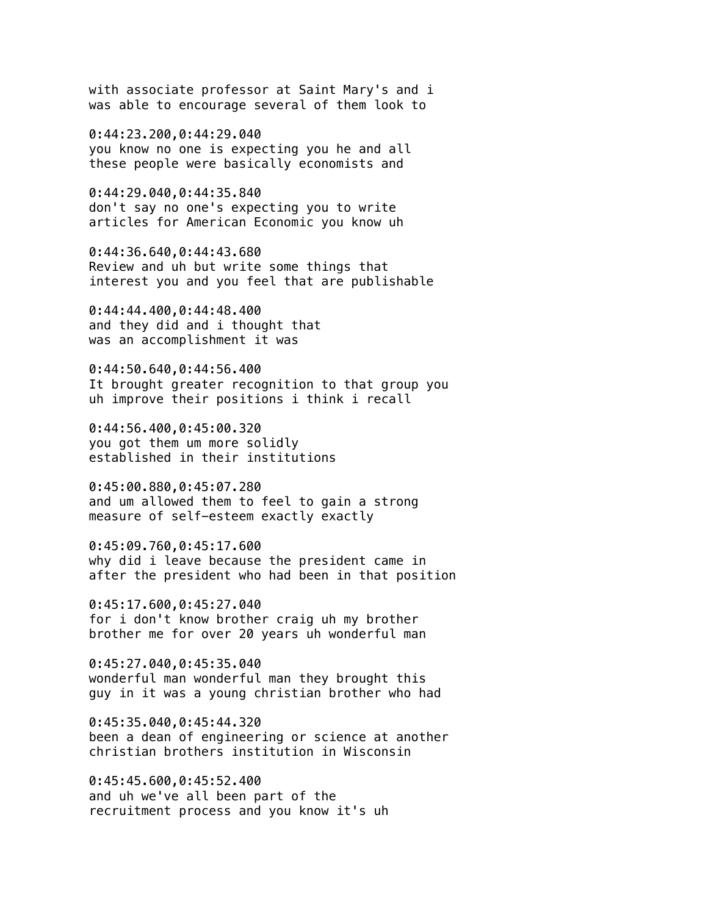with associate professor at Saint Mary's and i was able to encourage several of them look to

0:44:23.200,0:44:29.040 you know no one is expecting you he and all these people were basically economists and

0:44:29.040,0:44:35.840 don't say no one's expecting you to write articles for American Economic you know uh

0:44:36.640,0:44:43.680 Review and uh but write some things that interest you and you feel that are publishable

0:44:44.400,0:44:48.400 and they did and i thought that was an accomplishment it was

0:44:50.640,0:44:56.400 It brought greater recognition to that group you uh improve their positions i think i recall

0:44:56.400,0:45:00.320 you got them um more solidly established in their institutions

0:45:00.880,0:45:07.280 and um allowed them to feel to gain a strong measure of self-esteem exactly exactly

0:45:09.760,0:45:17.600 why did i leave because the president came in after the president who had been in that position

0:45:17.600,0:45:27.040 for i don't know brother craig uh my brother brother me for over 20 years uh wonderful man

0:45:27.040,0:45:35.040 wonderful man wonderful man they brought this guy in it was a young christian brother who had

0:45:35.040,0:45:44.320 been a dean of engineering or science at another christian brothers institution in Wisconsin

0:45:45.600,0:45:52.400 and uh we've all been part of the recruitment process and you know it's uh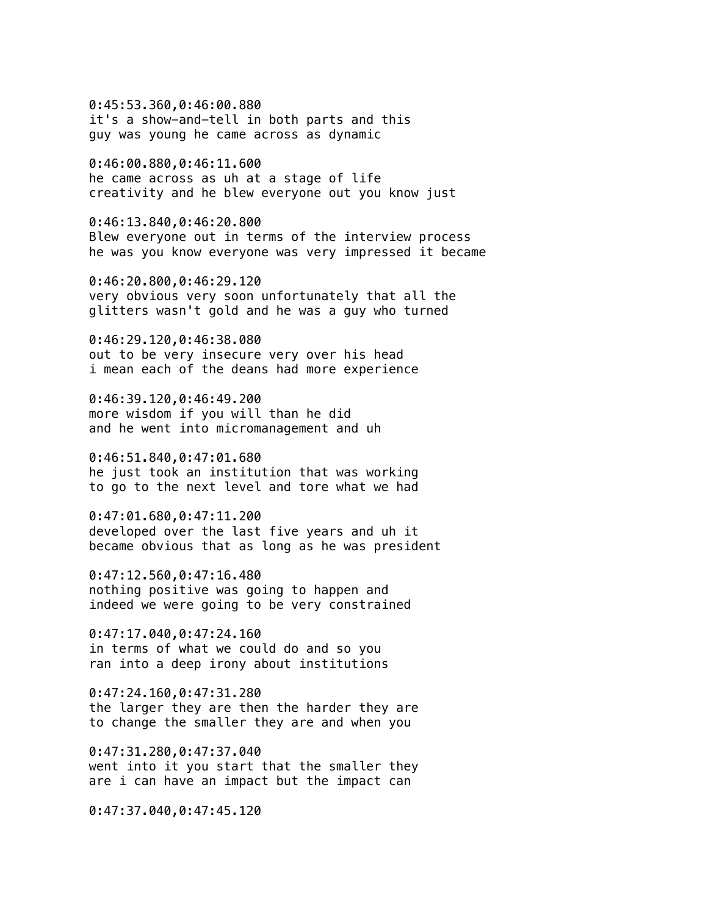0:45:53.360,0:46:00.880 it's a show-and-tell in both parts and this guy was young he came across as dynamic

0:46:00.880,0:46:11.600 he came across as uh at a stage of life creativity and he blew everyone out you know just

0:46:13.840,0:46:20.800 Blew everyone out in terms of the interview process he was you know everyone was very impressed it became

0:46:20.800,0:46:29.120 very obvious very soon unfortunately that all the glitters wasn't gold and he was a guy who turned

0:46:29.120,0:46:38.080 out to be very insecure very over his head i mean each of the deans had more experience

0:46:39.120,0:46:49.200 more wisdom if you will than he did and he went into micromanagement and uh

0:46:51.840,0:47:01.680 he just took an institution that was working to go to the next level and tore what we had

0:47:01.680,0:47:11.200 developed over the last five years and uh it became obvious that as long as he was president

0:47:12.560,0:47:16.480 nothing positive was going to happen and indeed we were going to be very constrained

0:47:17.040,0:47:24.160 in terms of what we could do and so you ran into a deep irony about institutions

0:47:24.160,0:47:31.280 the larger they are then the harder they are to change the smaller they are and when you

0:47:31.280,0:47:37.040 went into it you start that the smaller they are i can have an impact but the impact can

0:47:37.040,0:47:45.120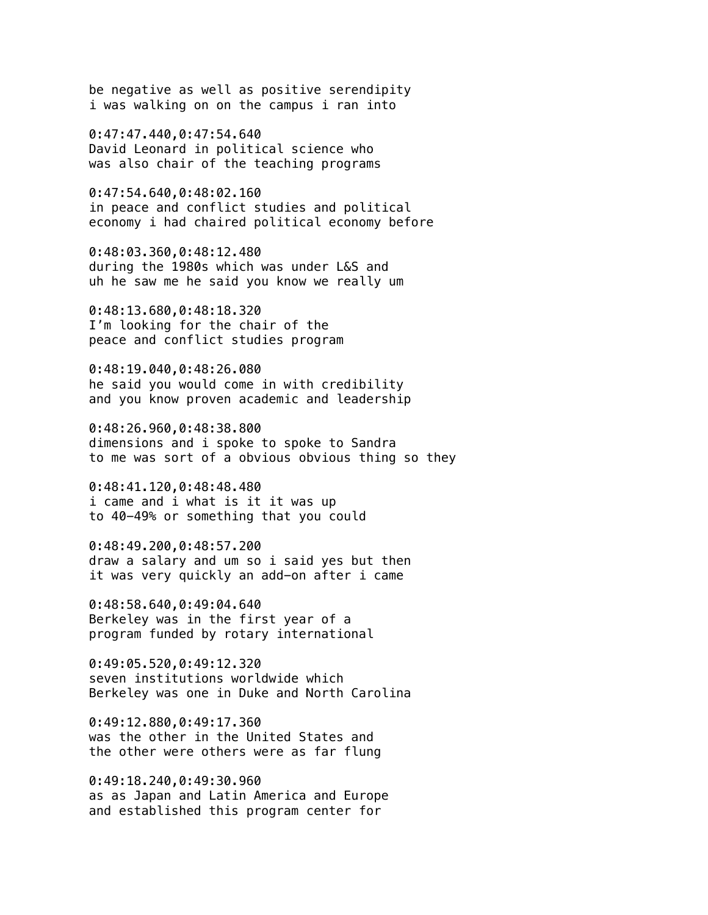be negative as well as positive serendipity i was walking on on the campus i ran into

0:47:47.440,0:47:54.640 David Leonard in political science who was also chair of the teaching programs

0:47:54.640,0:48:02.160 in peace and conflict studies and political economy i had chaired political economy before

0:48:03.360,0:48:12.480 during the 1980s which was under L&S and uh he saw me he said you know we really um

0:48:13.680,0:48:18.320 I'm looking for the chair of the peace and conflict studies program

0:48:19.040,0:48:26.080 he said you would come in with credibility and you know proven academic and leadership

0:48:26.960,0:48:38.800 dimensions and i spoke to spoke to Sandra to me was sort of a obvious obvious thing so they

0:48:41.120,0:48:48.480 i came and i what is it it was up to 40-49% or something that you could

0:48:49.200,0:48:57.200 draw a salary and um so i said yes but then it was very quickly an add-on after i came

0:48:58.640,0:49:04.640 Berkeley was in the first year of a program funded by rotary international

0:49:05.520,0:49:12.320 seven institutions worldwide which Berkeley was one in Duke and North Carolina

0:49:12.880,0:49:17.360 was the other in the United States and the other were others were as far flung

0:49:18.240,0:49:30.960 as as Japan and Latin America and Europe and established this program center for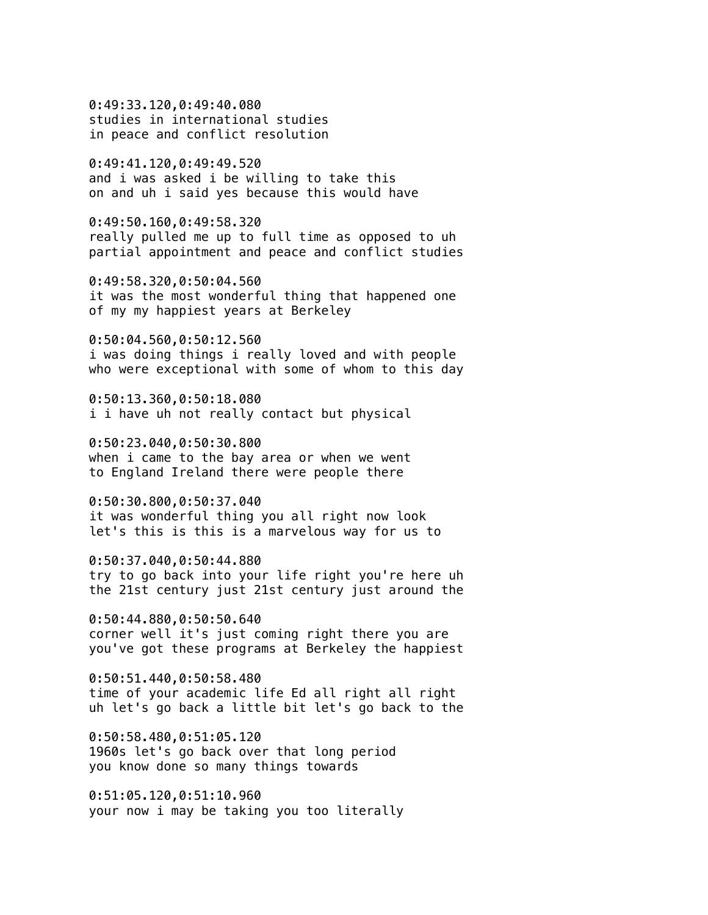0:49:33.120,0:49:40.080 studies in international studies in peace and conflict resolution

0:49:41.120,0:49:49.520 and i was asked i be willing to take this on and uh i said yes because this would have

0:49:50.160,0:49:58.320 really pulled me up to full time as opposed to uh partial appointment and peace and conflict studies

0:49:58.320,0:50:04.560 it was the most wonderful thing that happened one of my my happiest years at Berkeley

0:50:04.560,0:50:12.560 i was doing things i really loved and with people who were exceptional with some of whom to this day

0:50:13.360,0:50:18.080 i i have uh not really contact but physical

0:50:23.040,0:50:30.800 when i came to the bay area or when we went to England Ireland there were people there

0:50:30.800,0:50:37.040 it was wonderful thing you all right now look let's this is this is a marvelous way for us to

0:50:37.040,0:50:44.880 try to go back into your life right you're here uh the 21st century just 21st century just around the

0:50:44.880,0:50:50.640 corner well it's just coming right there you are you've got these programs at Berkeley the happiest

0:50:51.440,0:50:58.480 time of your academic life Ed all right all right uh let's go back a little bit let's go back to the

0:50:58.480,0:51:05.120 1960s let's go back over that long period you know done so many things towards

0:51:05.120,0:51:10.960 your now i may be taking you too literally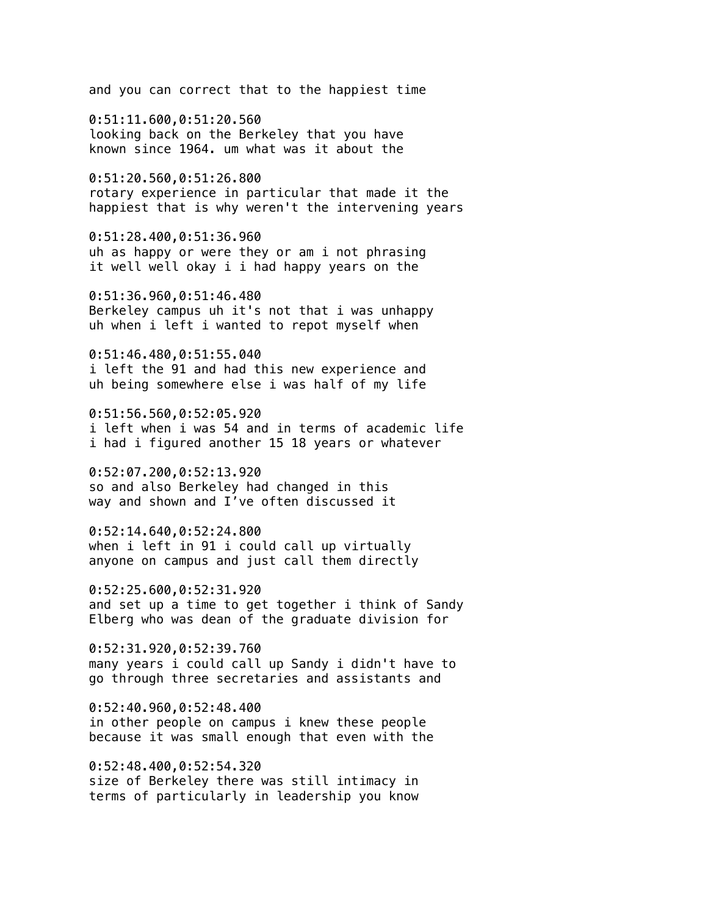and you can correct that to the happiest time

0:51:11.600,0:51:20.560 looking back on the Berkeley that you have known since 1964. um what was it about the

0:51:20.560,0:51:26.800 rotary experience in particular that made it the happiest that is why weren't the intervening years

0:51:28.400,0:51:36.960 uh as happy or were they or am i not phrasing it well well okay i i had happy years on the

0:51:36.960,0:51:46.480 Berkeley campus uh it's not that i was unhappy uh when i left i wanted to repot myself when

0:51:46.480,0:51:55.040 i left the 91 and had this new experience and uh being somewhere else i was half of my life

0:51:56.560,0:52:05.920 i left when i was 54 and in terms of academic life i had i figured another 15 18 years or whatever

0:52:07.200,0:52:13.920 so and also Berkeley had changed in this way and shown and I've often discussed it

0:52:14.640,0:52:24.800 when i left in 91 i could call up virtually anyone on campus and just call them directly

0:52:25.600,0:52:31.920 and set up a time to get together i think of Sandy Elberg who was dean of the graduate division for

0:52:31.920,0:52:39.760 many years i could call up Sandy i didn't have to go through three secretaries and assistants and

0:52:40.960,0:52:48.400 in other people on campus i knew these people because it was small enough that even with the

0:52:48.400,0:52:54.320 size of Berkeley there was still intimacy in terms of particularly in leadership you know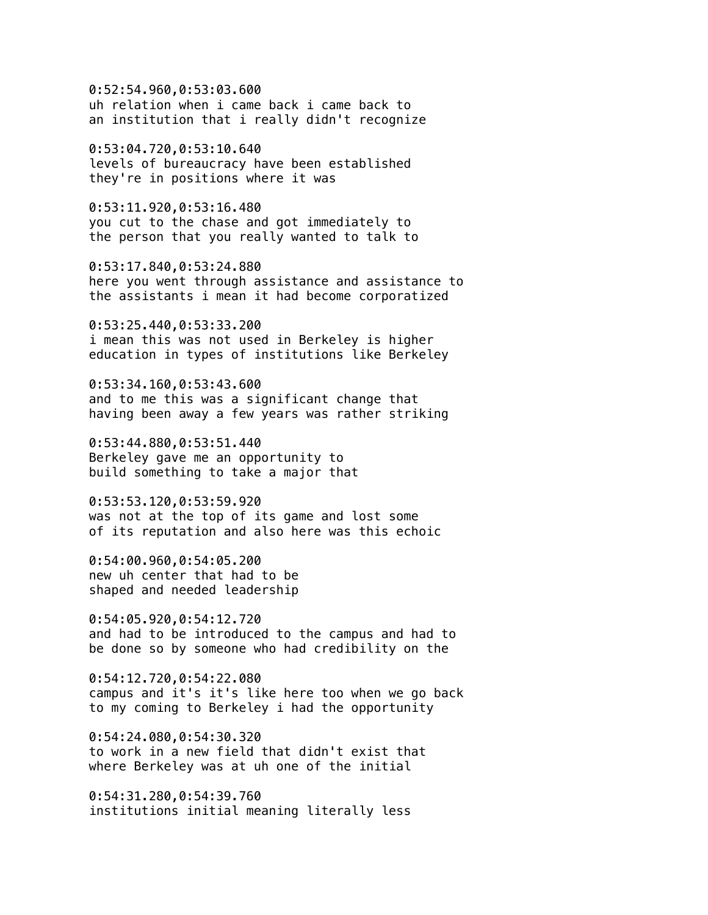0:52:54.960,0:53:03.600 uh relation when i came back i came back to an institution that i really didn't recognize

0:53:04.720,0:53:10.640 levels of bureaucracy have been established they're in positions where it was

0:53:11.920,0:53:16.480 you cut to the chase and got immediately to the person that you really wanted to talk to

0:53:17.840,0:53:24.880 here you went through assistance and assistance to the assistants i mean it had become corporatized

0:53:25.440,0:53:33.200 i mean this was not used in Berkeley is higher education in types of institutions like Berkeley

0:53:34.160,0:53:43.600 and to me this was a significant change that having been away a few years was rather striking

0:53:44.880,0:53:51.440 Berkeley gave me an opportunity to build something to take a major that

0:53:53.120,0:53:59.920 was not at the top of its game and lost some of its reputation and also here was this echoic

0:54:00.960,0:54:05.200 new uh center that had to be shaped and needed leadership

0:54:05.920,0:54:12.720 and had to be introduced to the campus and had to be done so by someone who had credibility on the

0:54:12.720,0:54:22.080 campus and it's it's like here too when we go back to my coming to Berkeley i had the opportunity

0:54:24.080,0:54:30.320 to work in a new field that didn't exist that where Berkeley was at uh one of the initial

0:54:31.280,0:54:39.760 institutions initial meaning literally less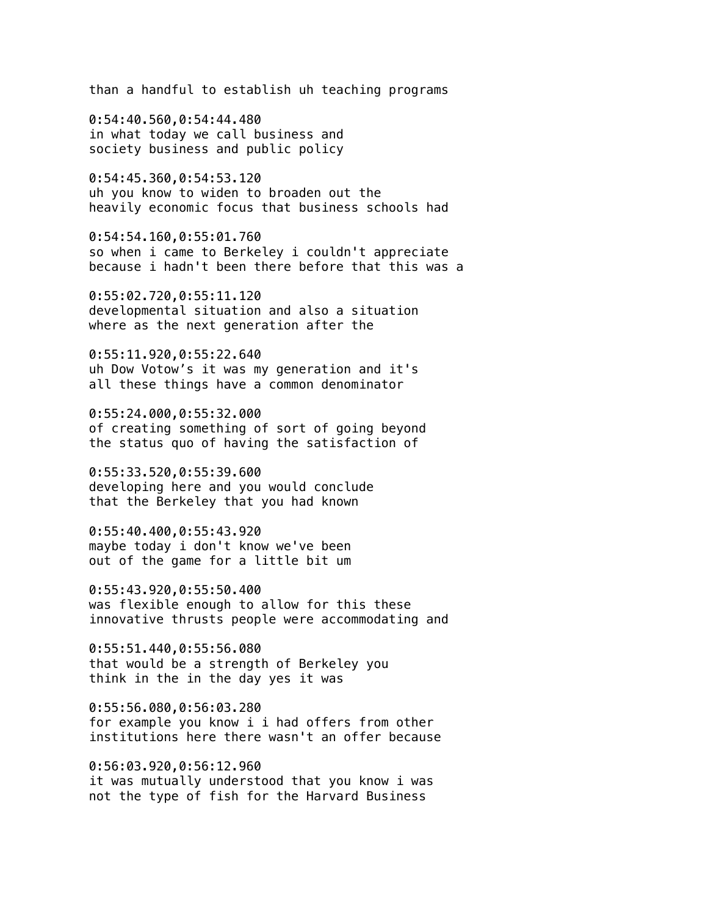than a handful to establish uh teaching programs

0:54:40.560,0:54:44.480 in what today we call business and society business and public policy

0:54:45.360,0:54:53.120 uh you know to widen to broaden out the heavily economic focus that business schools had

0:54:54.160,0:55:01.760 so when i came to Berkeley i couldn't appreciate because i hadn't been there before that this was a

0:55:02.720,0:55:11.120 developmental situation and also a situation where as the next generation after the

0:55:11.920,0:55:22.640 uh Dow Votow's it was my generation and it's all these things have a common denominator

0:55:24.000,0:55:32.000 of creating something of sort of going beyond the status quo of having the satisfaction of

0:55:33.520,0:55:39.600 developing here and you would conclude that the Berkeley that you had known

0:55:40.400,0:55:43.920 maybe today i don't know we've been out of the game for a little bit um

0:55:43.920,0:55:50.400 was flexible enough to allow for this these innovative thrusts people were accommodating and

0:55:51.440,0:55:56.080 that would be a strength of Berkeley you think in the in the day yes it was

0:55:56.080,0:56:03.280 for example you know i i had offers from other institutions here there wasn't an offer because

0:56:03.920,0:56:12.960 it was mutually understood that you know i was not the type of fish for the Harvard Business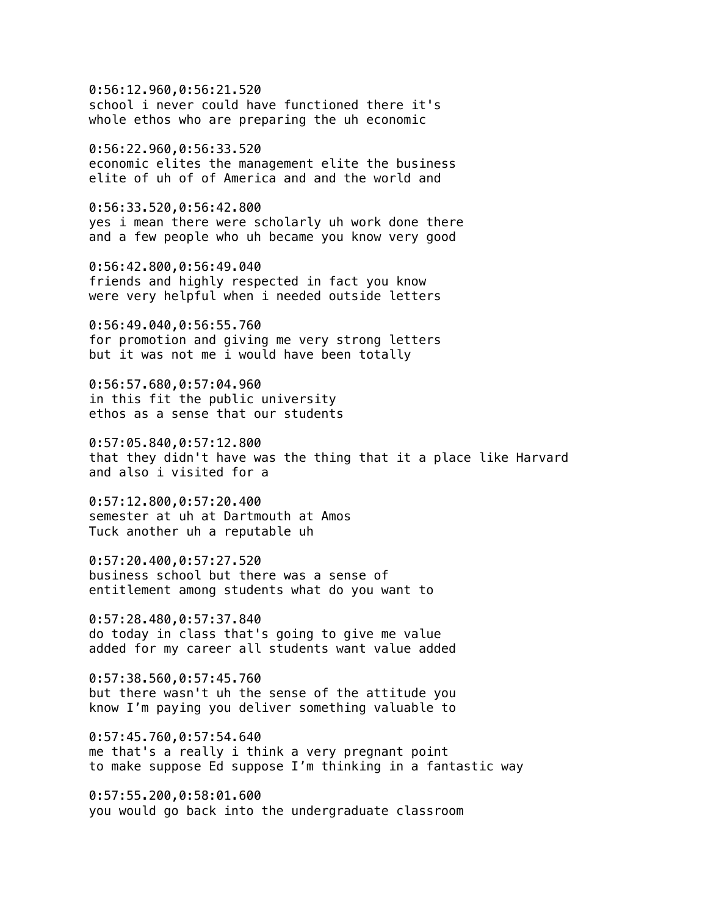0:56:12.960,0:56:21.520 school i never could have functioned there it's whole ethos who are preparing the uh economic

0:56:22.960,0:56:33.520 economic elites the management elite the business elite of uh of of America and and the world and

0:56:33.520,0:56:42.800 yes i mean there were scholarly uh work done there and a few people who uh became you know very good

0:56:42.800,0:56:49.040 friends and highly respected in fact you know were very helpful when i needed outside letters

0:56:49.040,0:56:55.760 for promotion and giving me very strong letters but it was not me i would have been totally

0:56:57.680,0:57:04.960 in this fit the public university ethos as a sense that our students

0:57:05.840,0:57:12.800 that they didn't have was the thing that it a place like Harvard and also i visited for a

0:57:12.800,0:57:20.400 semester at uh at Dartmouth at Amos Tuck another uh a reputable uh

0:57:20.400,0:57:27.520 business school but there was a sense of entitlement among students what do you want to

0:57:28.480,0:57:37.840 do today in class that's going to give me value added for my career all students want value added

0:57:38.560,0:57:45.760 but there wasn't uh the sense of the attitude you know I'm paying you deliver something valuable to

0:57:45.760,0:57:54.640 me that's a really i think a very pregnant point to make suppose Ed suppose I'm thinking in a fantastic way

0:57:55.200,0:58:01.600 you would go back into the undergraduate classroom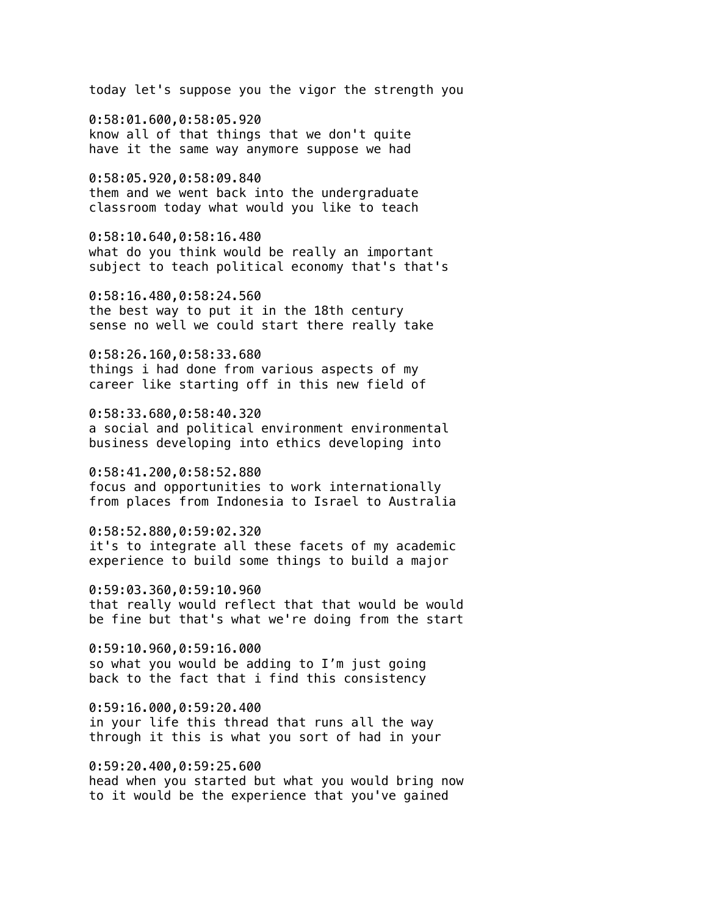today let's suppose you the vigor the strength you

0:58:01.600,0:58:05.920 know all of that things that we don't quite have it the same way anymore suppose we had

0:58:05.920,0:58:09.840 them and we went back into the undergraduate classroom today what would you like to teach

0:58:10.640,0:58:16.480 what do you think would be really an important subject to teach political economy that's that's

0:58:16.480,0:58:24.560 the best way to put it in the 18th century sense no well we could start there really take

0:58:26.160,0:58:33.680 things i had done from various aspects of my career like starting off in this new field of

0:58:33.680,0:58:40.320 a social and political environment environmental business developing into ethics developing into

0:58:41.200,0:58:52.880 focus and opportunities to work internationally from places from Indonesia to Israel to Australia

0:58:52.880,0:59:02.320 it's to integrate all these facets of my academic experience to build some things to build a major

0:59:03.360,0:59:10.960 that really would reflect that that would be would be fine but that's what we're doing from the start

0:59:10.960,0:59:16.000 so what you would be adding to I'm just going back to the fact that i find this consistency

0:59:16.000,0:59:20.400 in your life this thread that runs all the way through it this is what you sort of had in your

0:59:20.400,0:59:25.600 head when you started but what you would bring now to it would be the experience that you've gained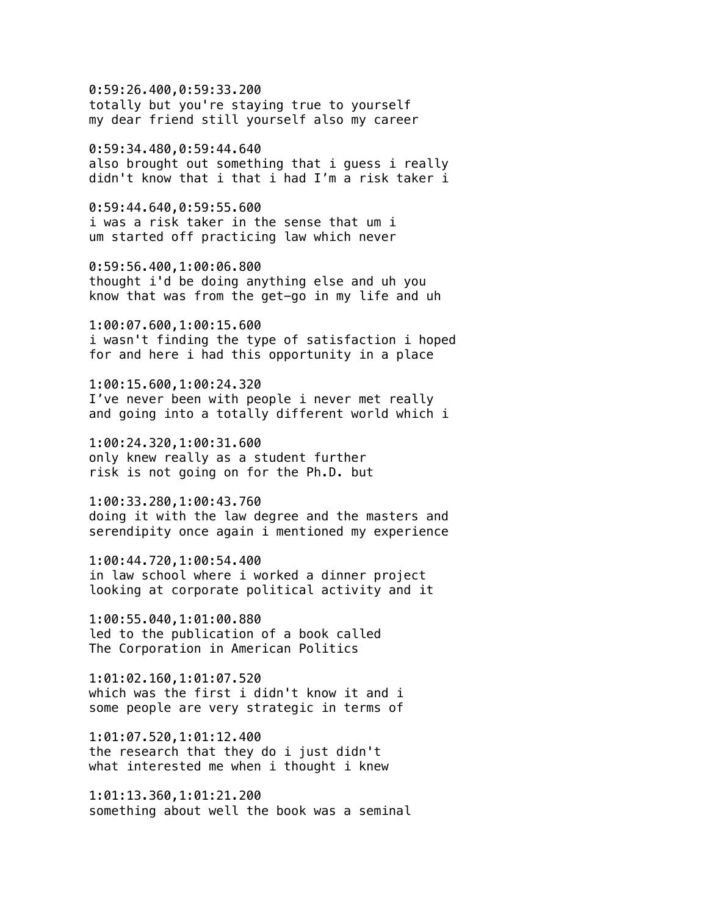0:59:26.400,0:59:33.200 totally but you're staying true to yourself my dear friend still yourself also my career

0:59:34.480,0:59:44.640 also brought out something that i guess i really didn't know that i that i had I'm a risk taker i

0:59:44.640,0:59:55.600 i was a risk taker in the sense that um i um started off practicing law which never

0:59:56.400,1:00:06.800 thought i'd be doing anything else and uh you know that was from the get-go in my life and uh

1:00:07.600,1:00:15.600 i wasn't finding the type of satisfaction i hoped for and here i had this opportunity in a place

1:00:15.600,1:00:24.320 I've never been with people i never met really and going into a totally different world which i

1:00:24.320,1:00:31.600 only knew really as a student further risk is not going on for the Ph.D. but

1:00:33.280,1:00:43.760 doing it with the law degree and the masters and serendipity once again i mentioned my experience

1:00:44.720,1:00:54.400 in law school where i worked a dinner project looking at corporate political activity and it

1:00:55.040,1:01:00.880 led to the publication of a book called The Corporation in American Politics

1:01:02.160,1:01:07.520 which was the first i didn't know it and i some people are very strategic in terms of

1:01:07.520,1:01:12.400 the research that they do i just didn't what interested me when i thought i knew

1:01:13.360,1:01:21.200 something about well the book was a seminal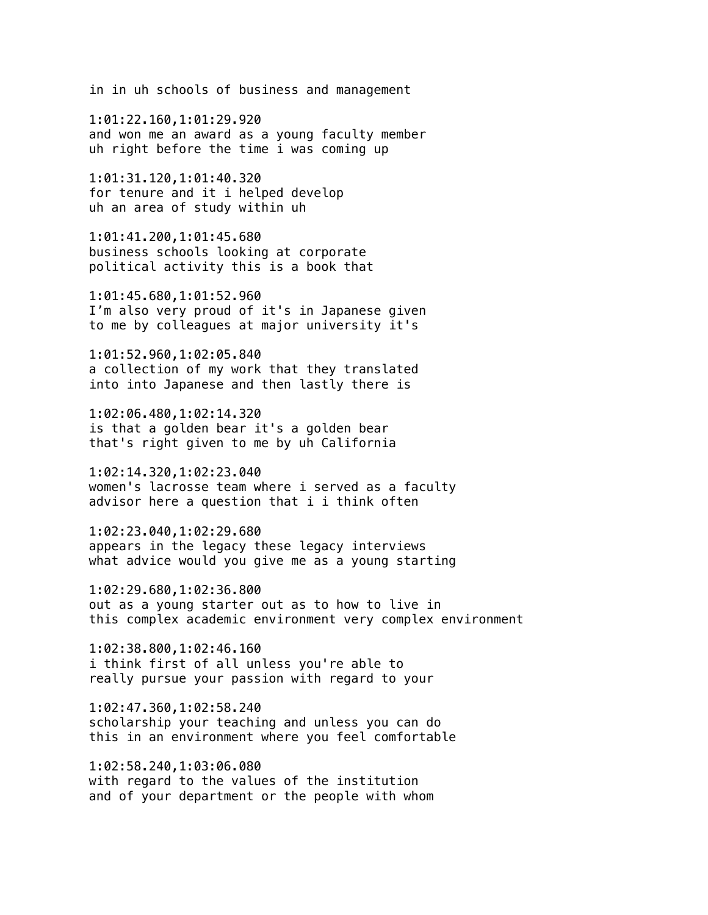in in uh schools of business and management

1:01:22.160,1:01:29.920 and won me an award as a young faculty member uh right before the time i was coming up

1:01:31.120,1:01:40.320 for tenure and it i helped develop uh an area of study within uh

1:01:41.200,1:01:45.680 business schools looking at corporate political activity this is a book that

1:01:45.680,1:01:52.960 I'm also very proud of it's in Japanese given to me by colleagues at major university it's

1:01:52.960,1:02:05.840 a collection of my work that they translated into into Japanese and then lastly there is

1:02:06.480,1:02:14.320 is that a golden bear it's a golden bear that's right given to me by uh California

1:02:14.320,1:02:23.040 women's lacrosse team where i served as a faculty advisor here a question that i i think often

1:02:23.040,1:02:29.680 appears in the legacy these legacy interviews what advice would you give me as a young starting

1:02:29.680,1:02:36.800 out as a young starter out as to how to live in this complex academic environment very complex environment

1:02:38.800,1:02:46.160 i think first of all unless you're able to really pursue your passion with regard to your

1:02:47.360,1:02:58.240 scholarship your teaching and unless you can do this in an environment where you feel comfortable

1:02:58.240,1:03:06.080 with regard to the values of the institution and of your department or the people with whom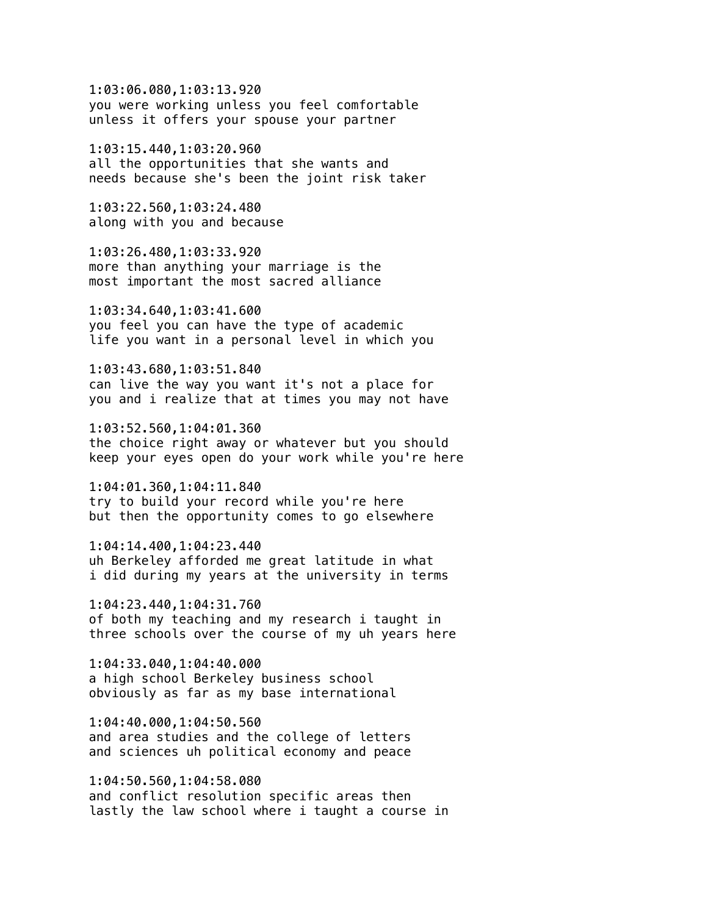1:03:06.080,1:03:13.920 you were working unless you feel comfortable unless it offers your spouse your partner

1:03:15.440,1:03:20.960 all the opportunities that she wants and needs because she's been the joint risk taker

1:03:22.560,1:03:24.480 along with you and because

1:03:26.480,1:03:33.920 more than anything your marriage is the most important the most sacred alliance

1:03:34.640,1:03:41.600 you feel you can have the type of academic life you want in a personal level in which you

1:03:43.680,1:03:51.840 can live the way you want it's not a place for you and i realize that at times you may not have

1:03:52.560,1:04:01.360 the choice right away or whatever but you should keep your eyes open do your work while you're here

1:04:01.360,1:04:11.840 try to build your record while you're here but then the opportunity comes to go elsewhere

1:04:14.400,1:04:23.440 uh Berkeley afforded me great latitude in what i did during my years at the university in terms

1:04:23.440,1:04:31.760 of both my teaching and my research i taught in three schools over the course of my uh years here

1:04:33.040,1:04:40.000 a high school Berkeley business school obviously as far as my base international

1:04:40.000,1:04:50.560 and area studies and the college of letters and sciences uh political economy and peace

1:04:50.560,1:04:58.080 and conflict resolution specific areas then lastly the law school where i taught a course in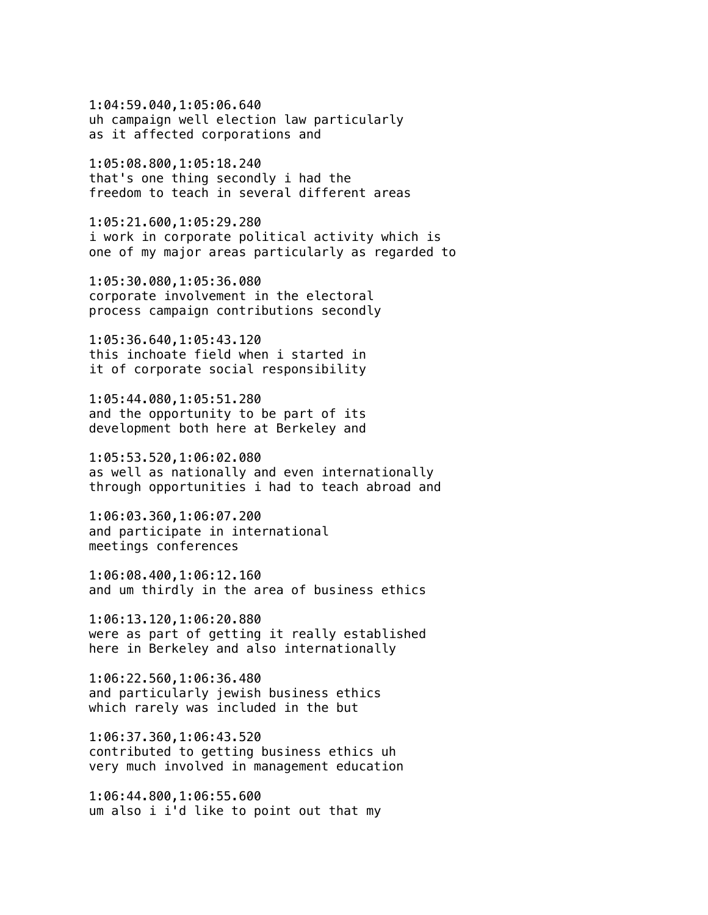1:04:59.040,1:05:06.640 uh campaign well election law particularly as it affected corporations and

1:05:08.800,1:05:18.240 that's one thing secondly i had the freedom to teach in several different areas

1:05:21.600,1:05:29.280 i work in corporate political activity which is one of my major areas particularly as regarded to

1:05:30.080,1:05:36.080 corporate involvement in the electoral process campaign contributions secondly

1:05:36.640,1:05:43.120 this inchoate field when i started in it of corporate social responsibility

1:05:44.080,1:05:51.280 and the opportunity to be part of its development both here at Berkeley and

1:05:53.520,1:06:02.080 as well as nationally and even internationally through opportunities i had to teach abroad and

1:06:03.360,1:06:07.200 and participate in international meetings conferences

1:06:08.400,1:06:12.160 and um thirdly in the area of business ethics

1:06:13.120,1:06:20.880 were as part of getting it really established here in Berkeley and also internationally

1:06:22.560,1:06:36.480 and particularly jewish business ethics which rarely was included in the but

1:06:37.360,1:06:43.520 contributed to getting business ethics uh very much involved in management education

1:06:44.800,1:06:55.600 um also i i'd like to point out that my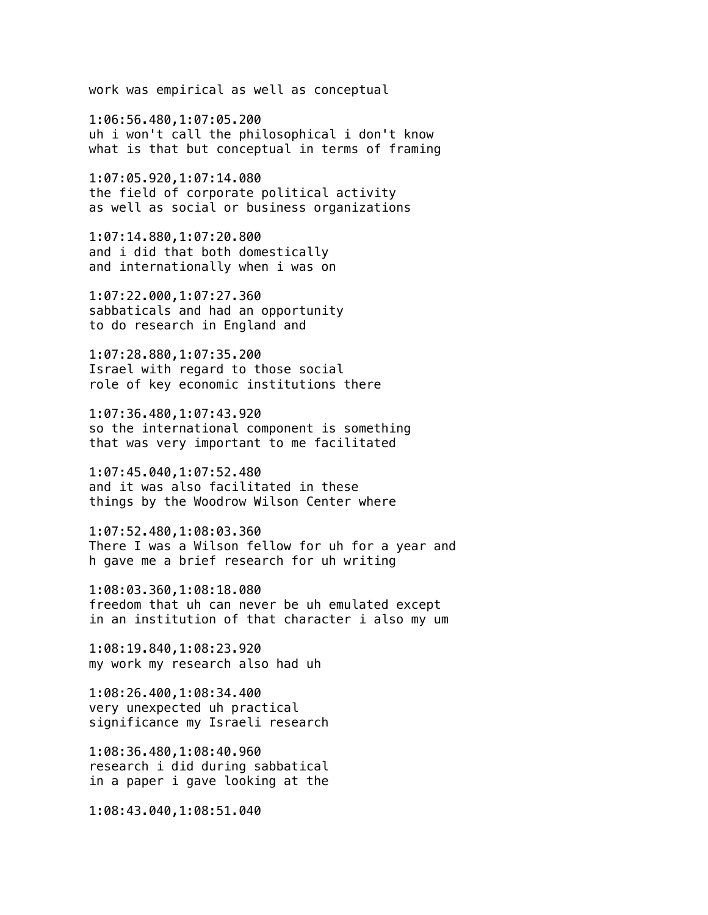work was empirical as well as conceptual

1:06:56.480,1:07:05.200 uh i won't call the philosophical i don't know what is that but conceptual in terms of framing

1:07:05.920,1:07:14.080 the field of corporate political activity as well as social or business organizations

1:07:14.880,1:07:20.800 and i did that both domestically and internationally when i was on

1:07:22.000,1:07:27.360 sabbaticals and had an opportunity to do research in England and

1:07:28.880,1:07:35.200 Israel with regard to those social role of key economic institutions there

1:07:36.480,1:07:43.920 so the international component is something that was very important to me facilitated

1:07:45.040,1:07:52.480 and it was also facilitated in these things by the Woodrow Wilson Center where

1:07:52.480,1:08:03.360 There I was a Wilson fellow for uh for a year and h gave me a brief research for uh writing

1:08:03.360,1:08:18.080 freedom that uh can never be uh emulated except in an institution of that character i also my um

1:08:19.840,1:08:23.920 my work my research also had uh

1:08:26.400,1:08:34.400 very unexpected uh practical significance my Israeli research

1:08:36.480,1:08:40.960 research i did during sabbatical in a paper i gave looking at the

1:08:43.040,1:08:51.040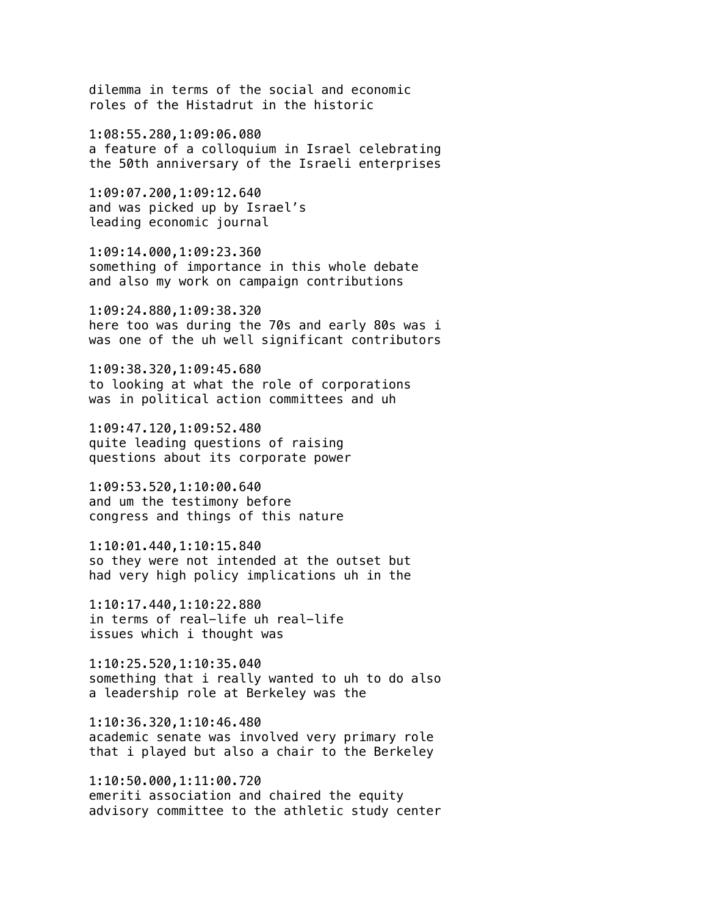dilemma in terms of the social and economic roles of the Histadrut in the historic

1:08:55.280,1:09:06.080 a feature of a colloquium in Israel celebrating the 50th anniversary of the Israeli enterprises

1:09:07.200,1:09:12.640 and was picked up by Israel's leading economic journal

1:09:14.000,1:09:23.360 something of importance in this whole debate and also my work on campaign contributions

1:09:24.880,1:09:38.320 here too was during the 70s and early 80s was i was one of the uh well significant contributors

1:09:38.320,1:09:45.680 to looking at what the role of corporations was in political action committees and uh

1:09:47.120,1:09:52.480 quite leading questions of raising questions about its corporate power

1:09:53.520,1:10:00.640 and um the testimony before congress and things of this nature

1:10:01.440,1:10:15.840 so they were not intended at the outset but had very high policy implications uh in the

1:10:17.440,1:10:22.880 in terms of real-life uh real-life issues which i thought was

1:10:25.520,1:10:35.040 something that i really wanted to uh to do also a leadership role at Berkeley was the

1:10:36.320,1:10:46.480 academic senate was involved very primary role that i played but also a chair to the Berkeley

1:10:50.000,1:11:00.720 emeriti association and chaired the equity advisory committee to the athletic study center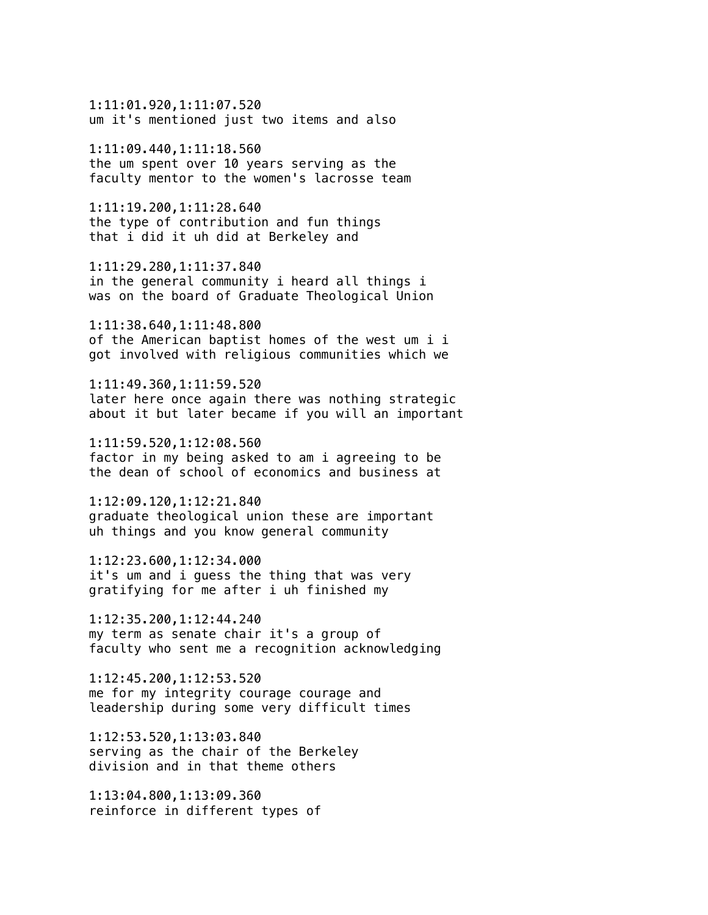1:11:01.920,1:11:07.520 um it's mentioned just two items and also

1:11:09.440,1:11:18.560 the um spent over 10 years serving as the faculty mentor to the women's lacrosse team

1:11:19.200,1:11:28.640 the type of contribution and fun things that i did it uh did at Berkeley and

1:11:29.280,1:11:37.840 in the general community i heard all things i was on the board of Graduate Theological Union

1:11:38.640,1:11:48.800 of the American baptist homes of the west um i i got involved with religious communities which we

1:11:49.360,1:11:59.520 later here once again there was nothing strategic about it but later became if you will an important

1:11:59.520,1:12:08.560 factor in my being asked to am i agreeing to be the dean of school of economics and business at

1:12:09.120,1:12:21.840 graduate theological union these are important uh things and you know general community

1:12:23.600,1:12:34.000 it's um and i guess the thing that was very gratifying for me after i uh finished my

1:12:35.200,1:12:44.240 my term as senate chair it's a group of faculty who sent me a recognition acknowledging

1:12:45.200,1:12:53.520 me for my integrity courage courage and leadership during some very difficult times

1:12:53.520,1:13:03.840 serving as the chair of the Berkeley division and in that theme others

1:13:04.800,1:13:09.360 reinforce in different types of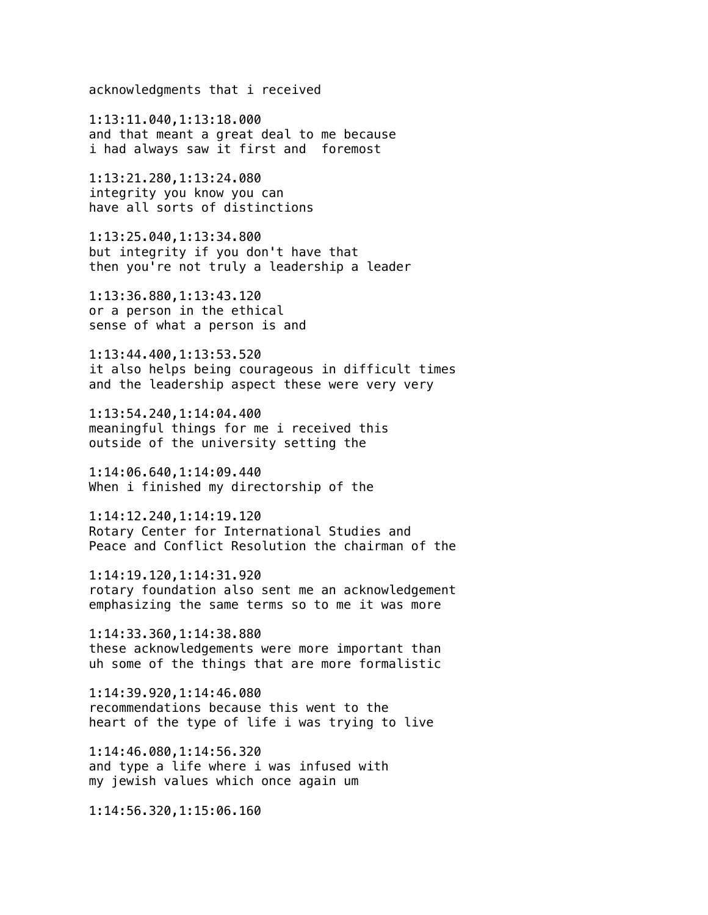acknowledgments that i received

1:13:11.040,1:13:18.000 and that meant a great deal to me because i had always saw it first and foremost

1:13:21.280,1:13:24.080 integrity you know you can have all sorts of distinctions

1:13:25.040,1:13:34.800 but integrity if you don't have that then you're not truly a leadership a leader

1:13:36.880,1:13:43.120 or a person in the ethical sense of what a person is and

1:13:44.400,1:13:53.520 it also helps being courageous in difficult times and the leadership aspect these were very very

1:13:54.240,1:14:04.400 meaningful things for me i received this outside of the university setting the

1:14:06.640,1:14:09.440 When i finished my directorship of the

1:14:12.240,1:14:19.120 Rotary Center for International Studies and Peace and Conflict Resolution the chairman of the

1:14:19.120,1:14:31.920 rotary foundation also sent me an acknowledgement emphasizing the same terms so to me it was more

1:14:33.360,1:14:38.880 these acknowledgements were more important than uh some of the things that are more formalistic

1:14:39.920,1:14:46.080 recommendations because this went to the heart of the type of life i was trying to live

1:14:46.080,1:14:56.320 and type a life where i was infused with my jewish values which once again um

1:14:56.320,1:15:06.160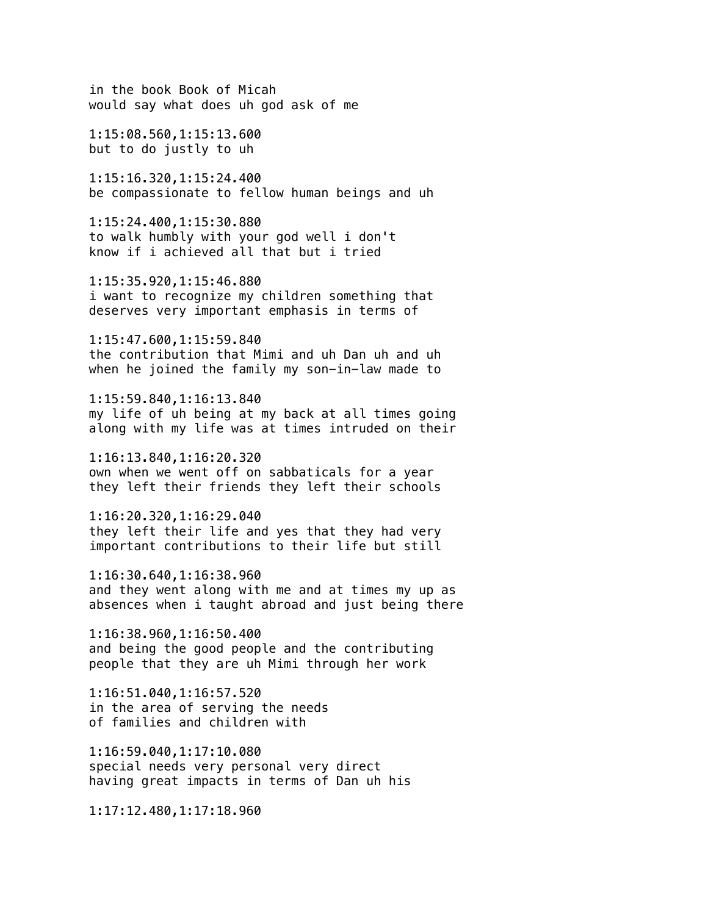in the book Book of Micah would say what does uh god ask of me 1:15:08.560,1:15:13.600 but to do justly to uh

1:15:16.320,1:15:24.400 be compassionate to fellow human beings and uh

1:15:24.400,1:15:30.880 to walk humbly with your god well i don't know if i achieved all that but i tried

1:15:35.920,1:15:46.880 i want to recognize my children something that deserves very important emphasis in terms of

1:15:47.600,1:15:59.840 the contribution that Mimi and uh Dan uh and uh when he joined the family my son-in-law made to

1:15:59.840,1:16:13.840 my life of uh being at my back at all times going along with my life was at times intruded on their

1:16:13.840,1:16:20.320 own when we went off on sabbaticals for a year they left their friends they left their schools

1:16:20.320,1:16:29.040 they left their life and yes that they had very important contributions to their life but still

1:16:30.640,1:16:38.960 and they went along with me and at times my up as absences when i taught abroad and just being there

1:16:38.960,1:16:50.400 and being the good people and the contributing people that they are uh Mimi through her work

1:16:51.040,1:16:57.520 in the area of serving the needs of families and children with

1:16:59.040,1:17:10.080 special needs very personal very direct having great impacts in terms of Dan uh his

1:17:12.480,1:17:18.960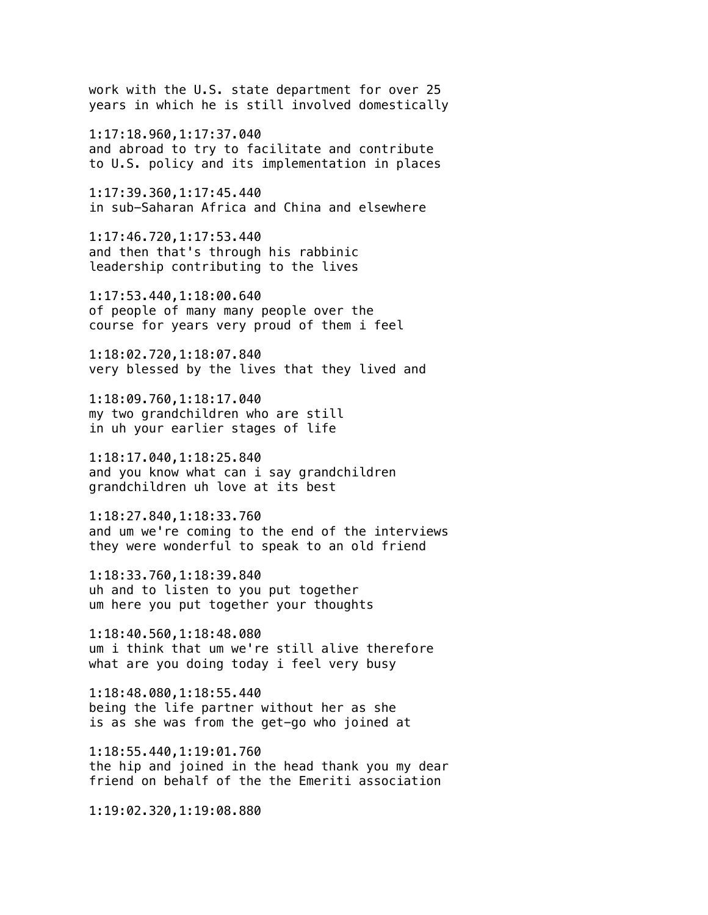work with the U.S. state department for over 25 years in which he is still involved domestically

1:17:18.960,1:17:37.040 and abroad to try to facilitate and contribute to U.S. policy and its implementation in places

1:17:39.360,1:17:45.440 in sub-Saharan Africa and China and elsewhere

1:17:46.720,1:17:53.440 and then that's through his rabbinic leadership contributing to the lives

1:17:53.440,1:18:00.640 of people of many many people over the course for years very proud of them i feel

1:18:02.720,1:18:07.840 very blessed by the lives that they lived and

1:18:09.760,1:18:17.040 my two grandchildren who are still in uh your earlier stages of life

1:18:17.040,1:18:25.840 and you know what can i say grandchildren grandchildren uh love at its best

1:18:27.840,1:18:33.760 and um we're coming to the end of the interviews they were wonderful to speak to an old friend

1:18:33.760,1:18:39.840 uh and to listen to you put together um here you put together your thoughts

1:18:40.560,1:18:48.080 um i think that um we're still alive therefore what are you doing today i feel very busy

1:18:48.080,1:18:55.440 being the life partner without her as she is as she was from the get-go who joined at

1:18:55.440,1:19:01.760 the hip and joined in the head thank you my dear friend on behalf of the the Emeriti association

1:19:02.320,1:19:08.880